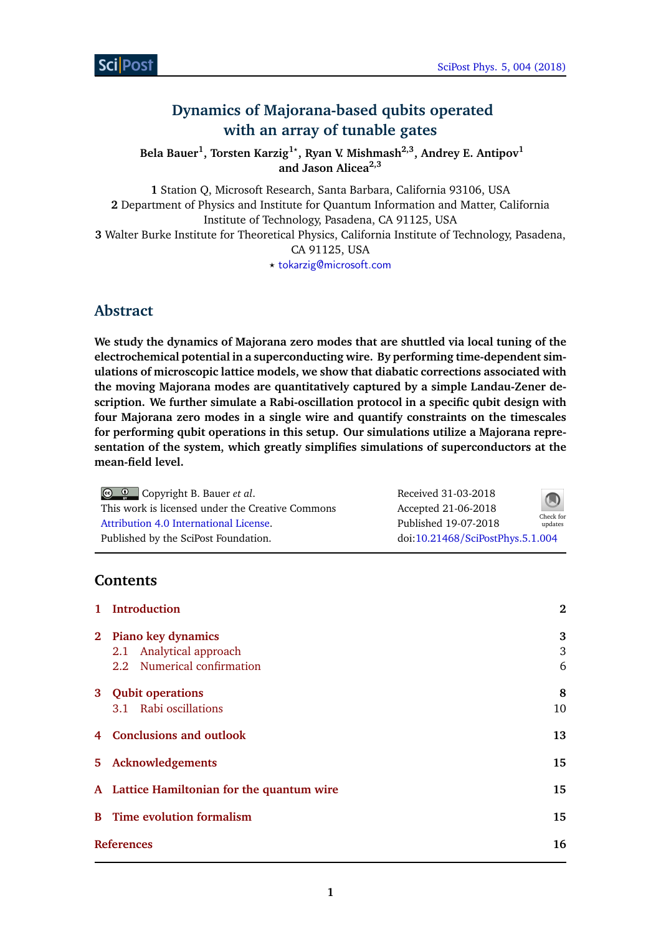# **Dynamics of Majorana-based qubits operated with an array of tunable gates**

**Bela Bauer<sup>1</sup> , Torsten Karzig1***?* **, Ryan V. Mishmash2,3, Andrey E. Antipov<sup>1</sup> and Jason Alicea2,3**

**1** Station Q, Microsoft Research, Santa Barbara, California 93106, USA **2** Department of Physics and Institute for Quantum Information and Matter, California Institute of Technology, Pasadena, CA 91125, USA **3** Walter Burke Institute for Theoretical Physics, California Institute of Technology, Pasadena, CA 91125, USA *?* [tokarzig@microsoft.com](mailto:tokarzig@microsoft.com)

# **Abstract**

**We study the dynamics of Majorana zero modes that are shuttled via local tuning of the electrochemical potential in a superconducting wire. By performing time-dependent simulations of microscopic lattice models, we show that diabatic corrections associated with the moving Majorana modes are quantitatively captured by a simple Landau-Zener description. We further simulate a Rabi-oscillation protocol in a specific qubit design with four Majorana zero modes in a single wire and quantify constraints on the timescales for performing qubit operations in this setup. Our simulations utilize a Majorana representation of the system, which greatly simplifies simulations of superconductors at the mean-field level.**

| © © Copyright B. Bauer <i>et al.</i>             | Received 31-03-2018              | $\bigcirc$           |
|--------------------------------------------------|----------------------------------|----------------------|
| This work is licensed under the Creative Commons | Accepted 21-06-2018              |                      |
| Attribution 4.0 International License.           | Published 19-07-2018             | Check for<br>updates |
| Published by the SciPost Foundation.             | doi:10.21468/SciPostPhys.5.1.004 |                      |

# **Contents**

| 1 Introduction                                                                | $\bf{2}$    |
|-------------------------------------------------------------------------------|-------------|
| 2 Piano key dynamics<br>2.1 Analytical approach<br>2.2 Numerical confirmation | 3<br>3<br>6 |
| 3 Qubit operations<br>3.1 Rabi oscillations                                   | 8<br>10     |
| 4 Conclusions and outlook                                                     | 13          |
| 5 Acknowledgements                                                            | 15          |
| A Lattice Hamiltonian for the quantum wire                                    | 15          |
| <b>B</b> Time evolution formalism                                             | 15          |
| <b>References</b>                                                             | 16          |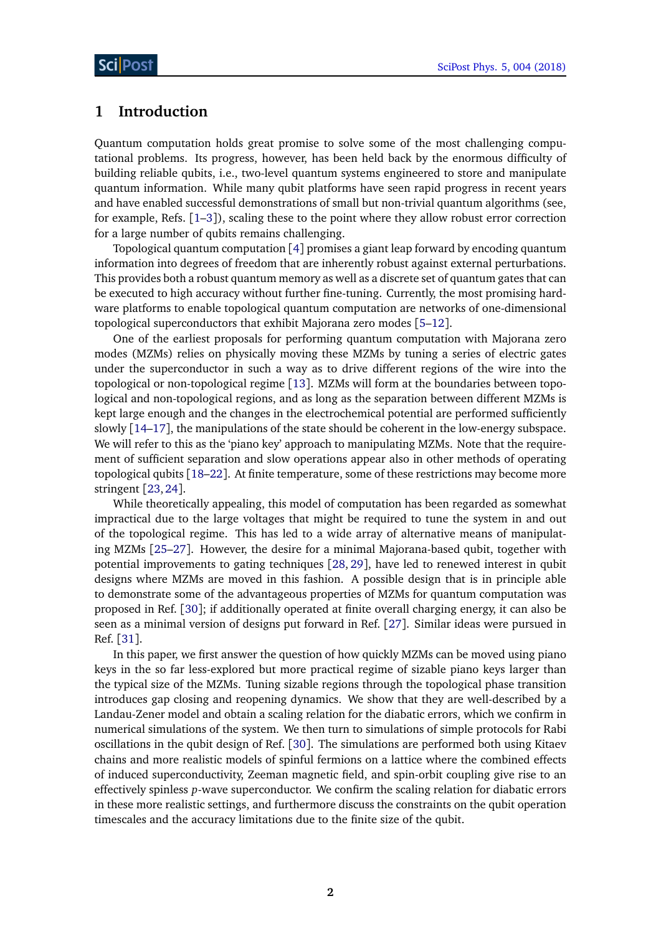# <span id="page-1-0"></span>**1 Introduction**

Quantum computation holds great promise to solve some of the most challenging computational problems. Its progress, however, has been held back by the enormous difficulty of building reliable qubits, i.e., two-level quantum systems engineered to store and manipulate quantum information. While many qubit platforms have seen rapid progress in recent years and have enabled successful demonstrations of small but non-trivial quantum algorithms (see, for example, Refs. [[1–](#page-15-1)[3](#page-15-2)]), scaling these to the point where they allow robust error correction for a large number of qubits remains challenging.

Topological quantum computation [[4](#page-15-3)] promises a giant leap forward by encoding quantum information into degrees of freedom that are inherently robust against external perturbations. This provides both a robust quantum memory as well as a discrete set of quantum gates that can be executed to high accuracy without further fine-tuning. Currently, the most promising hardware platforms to enable topological quantum computation are networks of one-dimensional topological superconductors that exhibit Majorana zero modes [[5–](#page-16-0)[12](#page-16-1)].

One of the earliest proposals for performing quantum computation with Majorana zero modes (MZMs) relies on physically moving these MZMs by tuning a series of electric gates under the superconductor in such a way as to drive different regions of the wire into the topological or non-topological regime [[13](#page-16-2)]. MZMs will form at the boundaries between topological and non-topological regions, and as long as the separation between different MZMs is kept large enough and the changes in the electrochemical potential are performed sufficiently slowly [[14](#page-16-3)[–17](#page-16-4)], the manipulations of the state should be coherent in the low-energy subspace. We will refer to this as the 'piano key' approach to manipulating MZMs. Note that the requirement of sufficient separation and slow operations appear also in other methods of operating topological qubits [[18–](#page-16-5)[22](#page-17-0)]. At finite temperature, some of these restrictions may become more stringent [[23,](#page-17-1)[24](#page-17-2)].

While theoretically appealing, this model of computation has been regarded as somewhat impractical due to the large voltages that might be required to tune the system in and out of the topological regime. This has led to a wide array of alternative means of manipulating MZMs [[25–](#page-17-3)[27](#page-17-4)]. However, the desire for a minimal Majorana-based qubit, together with potential improvements to gating techniques [[28,](#page-17-5) [29](#page-17-6)], have led to renewed interest in qubit designs where MZMs are moved in this fashion. A possible design that is in principle able to demonstrate some of the advantageous properties of MZMs for quantum computation was proposed in Ref. [[30](#page-17-7)]; if additionally operated at finite overall charging energy, it can also be seen as a minimal version of designs put forward in Ref. [[27](#page-17-4)]. Similar ideas were pursued in Ref. [[31](#page-17-8)].

In this paper, we first answer the question of how quickly MZMs can be moved using piano keys in the so far less-explored but more practical regime of sizable piano keys larger than the typical size of the MZMs. Tuning sizable regions through the topological phase transition introduces gap closing and reopening dynamics. We show that they are well-described by a Landau-Zener model and obtain a scaling relation for the diabatic errors, which we confirm in numerical simulations of the system. We then turn to simulations of simple protocols for Rabi oscillations in the qubit design of Ref. [[30](#page-17-7)]. The simulations are performed both using Kitaev chains and more realistic models of spinful fermions on a lattice where the combined effects of induced superconductivity, Zeeman magnetic field, and spin-orbit coupling give rise to an effectively spinless *p*-wave superconductor. We confirm the scaling relation for diabatic errors in these more realistic settings, and furthermore discuss the constraints on the qubit operation timescales and the accuracy limitations due to the finite size of the qubit.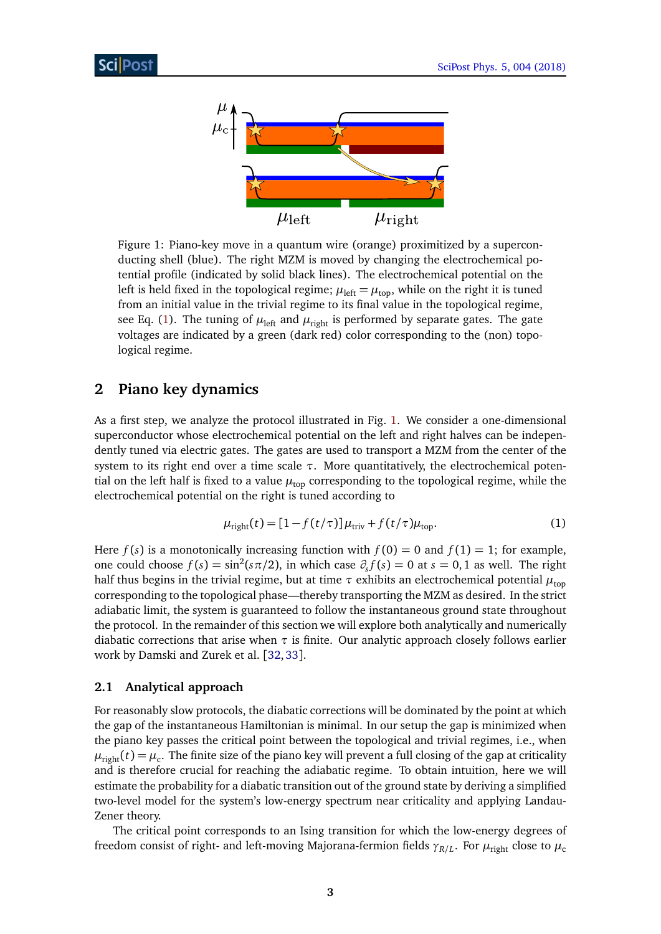<span id="page-2-3"></span>

Figure 1: Piano-key move in a quantum wire (orange) proximitized by a superconducting shell (blue). The right MZM is moved by changing the electrochemical potential profile (indicated by solid black lines). The electrochemical potential on the left is held fixed in the topological regime;  $\mu_{\text{left}} = \mu_{\text{top}}$ , while on the right it is tuned from an initial value in the trivial regime to its final value in the topological regime, see Eq. [\(1\)](#page-2-2). The tuning of  $\mu_{\text{left}}$  and  $\mu_{\text{right}}$  is performed by separate gates. The gate voltages are indicated by a green (dark red) color corresponding to the (non) topological regime.

# <span id="page-2-0"></span>**2 Piano key dynamics**

As a first step, we analyze the protocol illustrated in Fig. [1.](#page-2-3) We consider a one-dimensional superconductor whose electrochemical potential on the left and right halves can be independently tuned via electric gates. The gates are used to transport a MZM from the center of the system to its right end over a time scale *τ*. More quantitatively, the electrochemical potential on the left half is fixed to a value  $\mu_{\text{top}}$  corresponding to the topological regime, while the electrochemical potential on the right is tuned according to

<span id="page-2-2"></span>
$$
\mu_{\text{right}}(t) = [1 - f(t/\tau)] \mu_{\text{triv}} + f(t/\tau) \mu_{\text{top}}.
$$
\n(1)

Here  $f(s)$  is a monotonically increasing function with  $f(0) = 0$  and  $f(1) = 1$ ; for example, one could choose  $f(s) = \sin^2(s\pi/2)$ , in which case  $\partial_s f(s) = 0$  at  $s = 0, 1$  as well. The right half thus begins in the trivial regime, but at time  $\tau$  exhibits an electrochemical potential  $\mu_{\text{top}}$ corresponding to the topological phase—thereby transporting the MZM as desired. In the strict adiabatic limit, the system is guaranteed to follow the instantaneous ground state throughout the protocol. In the remainder of this section we will explore both analytically and numerically diabatic corrections that arise when  $\tau$  is finite. Our analytic approach closely follows earlier work by Damski and Zurek et al. [[32,](#page-17-9)[33](#page-17-10)].

#### <span id="page-2-1"></span>**2.1 Analytical approach**

For reasonably slow protocols, the diabatic corrections will be dominated by the point at which the gap of the instantaneous Hamiltonian is minimal. In our setup the gap is minimized when the piano key passes the critical point between the topological and trivial regimes, i.e., when  $\mu_{\rm right}(t)$  =  $\mu_{\rm c}$ . The finite size of the piano key will prevent a full closing of the gap at criticality and is therefore crucial for reaching the adiabatic regime. To obtain intuition, here we will estimate the probability for a diabatic transition out of the ground state by deriving a simplified two-level model for the system's low-energy spectrum near criticality and applying Landau-Zener theory.

The critical point corresponds to an Ising transition for which the low-energy degrees of freedom consist of right- and left-moving Majorana-fermion fields  $\gamma_{R/L}.$  For  $\mu_{\rm right}$  close to  $\mu_{\rm c}$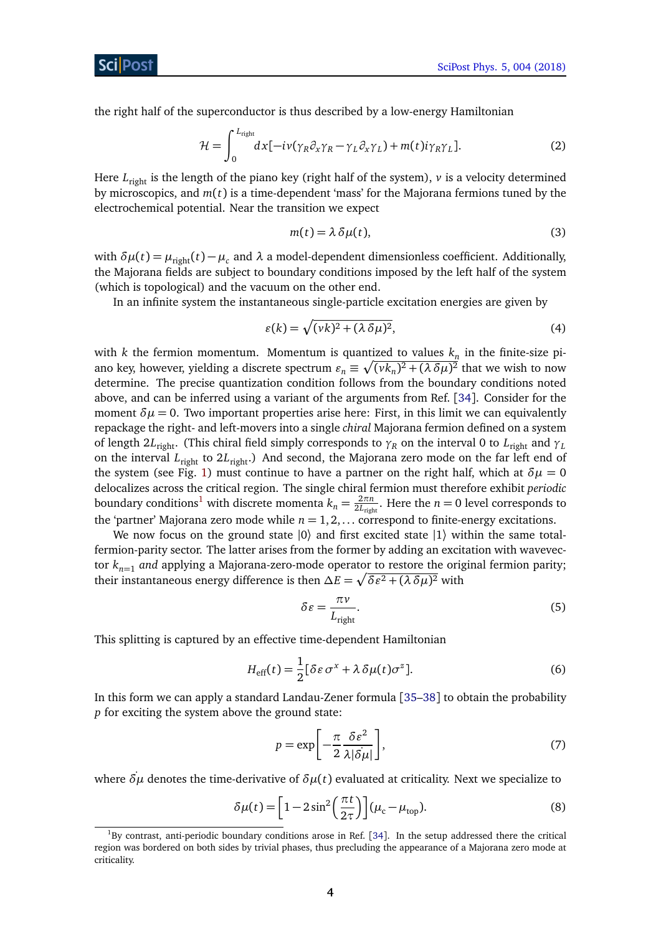the right half of the superconductor is thus described by a low-energy Hamiltonian

$$
\mathcal{H} = \int_0^{L_{\text{right}}} dx \left[ -i\nu (\gamma_R \partial_x \gamma_R - \gamma_L \partial_x \gamma_L) + m(t) i \gamma_R \gamma_L \right]. \tag{2}
$$

Here  $L_{\text{right}}$  is the length of the piano key (right half of the system),  $\nu$  is a velocity determined by microscopics, and *m*(*t*) is a time-dependent 'mass' for the Majorana fermions tuned by the electrochemical potential. Near the transition we expect

<span id="page-3-1"></span>
$$
m(t) = \lambda \delta \mu(t),\tag{3}
$$

with  $δμ(t) = μ_{right(t)} - μ_c$  and  $λ$  a model-dependent dimensionless coefficient. Additionally, the Majorana fields are subject to boundary conditions imposed by the left half of the system (which is topological) and the vacuum on the other end.

In an infinite system the instantaneous single-particle excitation energies are given by

$$
\varepsilon(k) = \sqrt{(vk)^2 + (\lambda \,\delta\mu)^2},\tag{4}
$$

with  $k$  the fermion momentum. Momentum is quantized to values  $k_n$  in the finite-size piano key, however, yielding a discrete spectrum  $\varepsilon_n \equiv \sqrt{(\nu k_n)^2 + (\lambda \, \delta \mu)^2}$  that we wish to now determine. The precise quantization condition follows from the boundary conditions noted above, and can be inferred using a variant of the arguments from Ref. [[34](#page-17-11)]. Consider for the moment  $\delta \mu = 0$ . Two important properties arise here: First, in this limit we can equivalently repackage the right- and left-movers into a single *chiral* Majorana fermion defined on a system of length 2*L*<sub>right</sub>. (This chiral field simply corresponds to  $\gamma_R$  on the interval 0 to *L*<sub>right</sub> and  $\gamma_L$ on the interval *L*right to 2*L*right.) And second, the Majorana zero mode on the far left end of the system (see Fig. [1\)](#page-2-3) must continue to have a partner on the right half, which at  $\delta \mu = 0$ delocalizes across the critical region. The single chiral fermion must therefore exhibit *periodic* boundary conditions<sup>[1](#page-3-0)</sup> with discrete momenta  $k_n = \frac{2\pi n}{2L_{\text{right}}}$  $\frac{2\pi n}{2L_{\text{right}}}$ . Here the  $n=0$  level corresponds to the 'partner' Majorana zero mode while  $n = 1, 2, \ldots$  correspond to finite-energy excitations.

We now focus on the ground state  $|0\rangle$  and first excited state  $|1\rangle$  within the same totalfermion-parity sector. The latter arises from the former by adding an excitation with wavevector  $k_{n=1}$  *and* applying a Majorana-zero-mode operator to restore the original fermion parity; their instantaneous energy difference is then  $\Delta E = \sqrt{\delta \varepsilon^2 + (\lambda \, \delta \mu)^2}$  with

<span id="page-3-2"></span>
$$
\delta \varepsilon = \frac{\pi \nu}{L_{\text{right}}}.\tag{5}
$$

This splitting is captured by an effective time-dependent Hamiltonian

$$
H_{\text{eff}}(t) = \frac{1}{2} [\delta \varepsilon \sigma^x + \lambda \delta \mu(t) \sigma^z]. \tag{6}
$$

In this form we can apply a standard Landau-Zener formula [[35–](#page-18-0)[38](#page-18-1)] to obtain the probability *p* for exciting the system above the ground state:

$$
p = \exp\left[-\frac{\pi}{2} \frac{\delta \varepsilon^2}{\lambda |\delta \mu|}\right],\tag{7}
$$

where *δµ*˙ denotes the time-derivative of *δµ*(*t*) evaluated at criticality. Next we specialize to

$$
\delta\mu(t) = \left[1 - 2\sin^2\left(\frac{\pi t}{2\tau}\right)\right](\mu_c - \mu_{\text{top}}). \tag{8}
$$

<span id="page-3-0"></span><sup>&</sup>lt;sup>1</sup>By contrast, anti-periodic boundary conditions arose in Ref. [[34](#page-17-11)]. In the setup addressed there the critical region was bordered on both sides by trivial phases, thus precluding the appearance of a Majorana zero mode at criticality.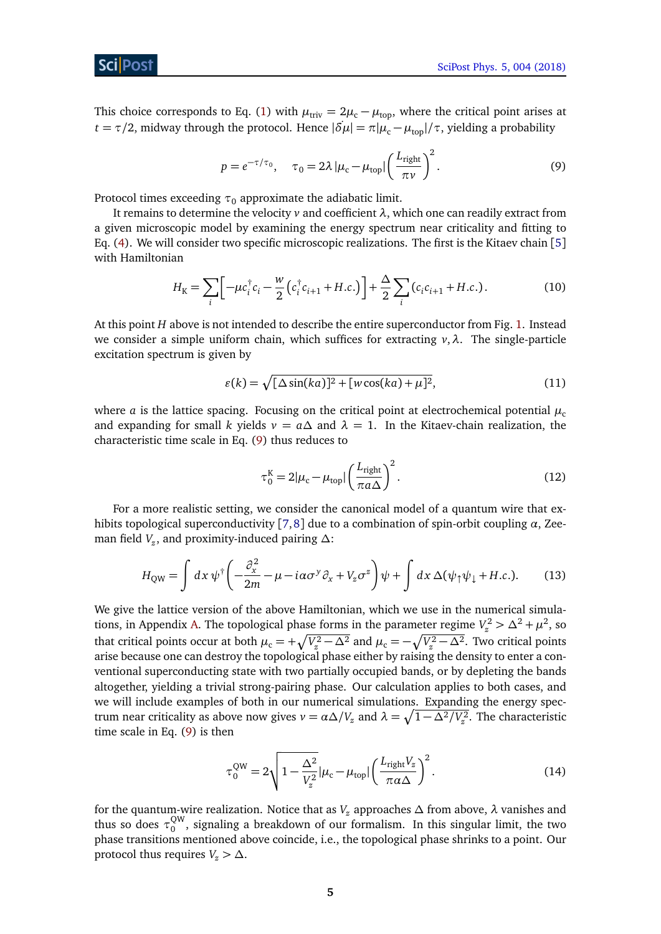This choice corresponds to Eq. [\(1\)](#page-2-2) with  $\mu_{\text{triv}} = 2\mu_c - \mu_{\text{top}}$ , where the critical point arises at *t* = *τ*/2, midway through the protocol. Hence  $|\delta \mu| = \pi |\mu_c - \mu_{\text{top}}| / \tau$ , yielding a probability

<span id="page-4-0"></span>
$$
p = e^{-\tau/\tau_0}, \quad \tau_0 = 2\lambda \left| \mu_c - \mu_{\text{top}} \right| \left( \frac{L_{\text{right}}}{\pi \nu} \right)^2.
$$
 (9)

Protocol times exceeding  $\tau_0$  approximate the adiabatic limit.

It remains to determine the velocity *v* and coefficient *λ*, which one can readily extract from a given microscopic model by examining the energy spectrum near criticality and fitting to Eq. [\(4\)](#page-3-1). We will consider two specific microscopic realizations. The first is the Kitaev chain [[5](#page-16-0)] with Hamiltonian

$$
H_{\rm K} = \sum_{i} \left[ -\mu c_i^{\dagger} c_i - \frac{w}{2} \left( c_i^{\dagger} c_{i+1} + H.c. \right) \right] + \frac{\Delta}{2} \sum_{i} \left( c_i c_{i+1} + H.c. \right). \tag{10}
$$

At this point *H* above is not intended to describe the entire superconductor from Fig. [1.](#page-2-3) Instead we consider a simple uniform chain, which suffices for extracting *v*,*λ*. The single-particle excitation spectrum is given by

$$
\varepsilon(k) = \sqrt{\lfloor \Delta \sin(ka) \rfloor^2 + \lfloor w \cos(ka) + \mu \rfloor^2},\tag{11}
$$

where *a* is the lattice spacing. Focusing on the critical point at electrochemical potential  $\mu_c$ and expanding for small *k* yields  $v = a\Delta$  and  $\lambda = 1$ . In the Kitaev-chain realization, the characteristic time scale in Eq. [\(9\)](#page-4-0) thus reduces to

<span id="page-4-2"></span><span id="page-4-1"></span>
$$
\tau_0^{\text{K}} = 2|\mu_{\text{c}} - \mu_{\text{top}}| \left(\frac{L_{\text{right}}}{\pi a \Delta}\right)^2.
$$
 (12)

For a more realistic setting, we consider the canonical model of a quantum wire that exhibits topological superconductivity [[7,](#page-16-6)[8](#page-16-7)] due to a combination of spin-orbit coupling *α*, Zeeman field *V<sup>z</sup>* , and proximity-induced pairing *∆*:

$$
H_{\text{QW}} = \int dx \, \psi^{\dagger} \left( -\frac{\partial_x^2}{2m} - \mu - i\alpha \sigma^y \partial_x + V_z \sigma^z \right) \psi + \int dx \, \Delta(\psi_{\uparrow} \psi_{\downarrow} + H.c.). \tag{13}
$$

We give the lattice version of the above Hamiltonian, which we use in the numerical simula-tions, in Appendix [A.](#page-14-1) The topological phase forms in the parameter regime  $V_z^2 > \Delta^2 + \mu^2$ , so that critical points occur at both  $\mu_c = +\sqrt{V_z^2 - \Delta^2}$  and  $\mu_c = -\sqrt{V_z^2 - \Delta^2}$ . Two critical points arise because one can destroy the topological phase either by raising the density to enter a conventional superconducting state with two partially occupied bands, or by depleting the bands altogether, yielding a trivial strong-pairing phase. Our calculation applies to both cases, and we will include examples of both in our numerical simulations. Expanding the energy spectrum near criticality as above now gives  $v = \alpha \Delta/V_z$  and  $\lambda = \sqrt{1 - \Delta^2/V_z^2}$ . The characteristic time scale in Eq. [\(9\)](#page-4-0) is then

<span id="page-4-3"></span>
$$
\tau_0^{\text{QW}} = 2\sqrt{1 - \frac{\Delta^2}{V_z^2}} |\mu_{\text{c}} - \mu_{\text{top}}| \left(\frac{L_{\text{right}} V_z}{\pi \alpha \Delta}\right)^2.
$$
 (14)

for the quantum-wire realization. Notice that as *V<sup>z</sup>* approaches *∆* from above, *λ* vanishes and thus so does  $\tau_0^{\text{QW}}$  $\delta_0^{\text{ew}}$ , signaling a breakdown of our formalism. In this singular limit, the two phase transitions mentioned above coincide, i.e., the topological phase shrinks to a point. Our protocol thus requires  $V_z > \Delta$ .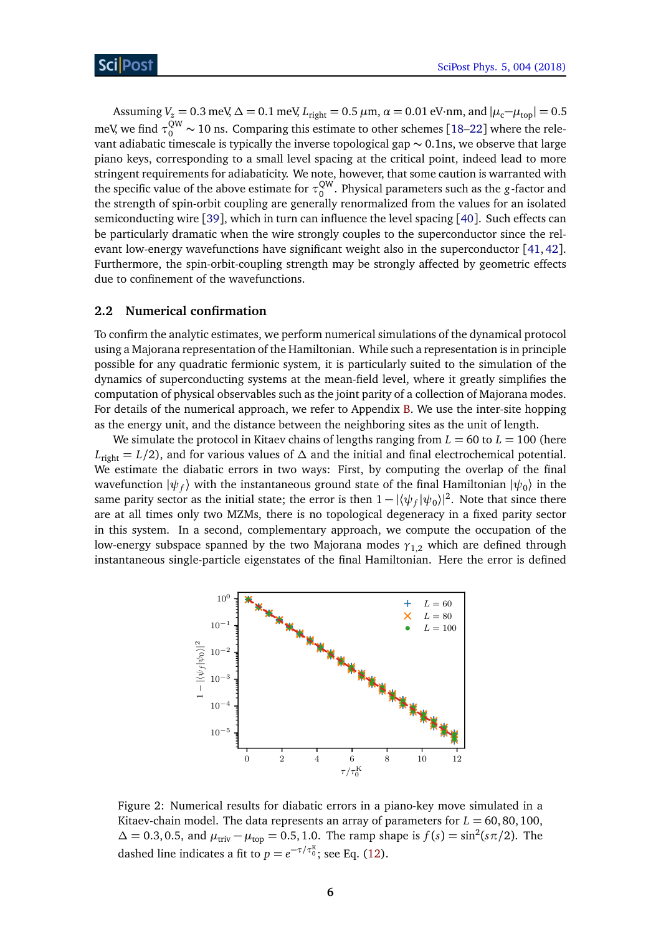Assuming  $V_z = 0.3$  meV,  $\Delta = 0.1$  meV,  $L_{\text{right}} = 0.5$   $\mu$ m,  $\alpha = 0.01$  eV·nm, and  $|\mu_c - \mu_{\text{top}}| = 0.5$ meV, we find  $\tau_0^{\text{QW}} \sim 10$  ns. Comparing this estimate to other schemes [[18](#page-16-5)[–22](#page-17-0)] where the relevant adiabatic timescale is typically the inverse topological gap ∼ 0.1ns, we observe that large piano keys, corresponding to a small level spacing at the critical point, indeed lead to more stringent requirements for adiabaticity. We note, however, that some caution is warranted with the specific value of the above estimate for  $\tau_0^{\text{QW}}$ 0 . Physical parameters such as the *g*-factor and the strength of spin-orbit coupling are generally renormalized from the values for an isolated semiconducting wire [[39](#page-18-2)], which in turn can influence the level spacing [[40](#page-18-3)]. Such effects can be particularly dramatic when the wire strongly couples to the superconductor since the relevant low-energy wavefunctions have significant weight also in the superconductor [[41,](#page-18-4) [42](#page-18-5)]. Furthermore, the spin-orbit-coupling strength may be strongly affected by geometric effects due to confinement of the wavefunctions.

#### <span id="page-5-0"></span>**2.2 Numerical confirmation**

To confirm the analytic estimates, we perform numerical simulations of the dynamical protocol using a Majorana representation of the Hamiltonian. While such a representation is in principle possible for any quadratic fermionic system, it is particularly suited to the simulation of the dynamics of superconducting systems at the mean-field level, where it greatly simplifies the computation of physical observables such as the joint parity of a collection of Majorana modes. For details of the numerical approach, we refer to Appendix [B.](#page-14-2) We use the inter-site hopping as the energy unit, and the distance between the neighboring sites as the unit of length.

We simulate the protocol in Kitaev chains of lengths ranging from  $L = 60$  to  $L = 100$  (here *L*right = *L/*2), and for various values of *∆* and the initial and final electrochemical potential. We estimate the diabatic errors in two ways: First, by computing the overlap of the final wavefunction  $\ket{\psi_f}$  with the instantaneous ground state of the final Hamiltonian  $\ket{\psi_0}$  in the same parity sector as the initial state; the error is then  $1 - |\langle \psi_f | \psi_0 \rangle|^2$ . Note that since there are at all times only two MZMs, there is no topological degeneracy in a fixed parity sector in this system. In a second, complementary approach, we compute the occupation of the low-energy subspace spanned by the two Majorana modes *γ*1,2 which are defined through instantaneous single-particle eigenstates of the final Hamiltonian. Here the error is defined

<span id="page-5-1"></span>

Figure 2: Numerical results for diabatic errors in a piano-key move simulated in a Kitaev-chain model. The data represents an array of parameters for  $L = 60, 80, 100$ ,  $Δ = 0.3, 0.5,$  and  $μ_{triv} - μ_{top} = 0.5, 1.0$ . The ramp shape is  $f(s) = sin^2(sπ/2)$ . The dashed line indicates a fit to  $p = e^{-\tau/\tau_0^{\text{K}}}$ ; see Eq. [\(12\)](#page-4-1).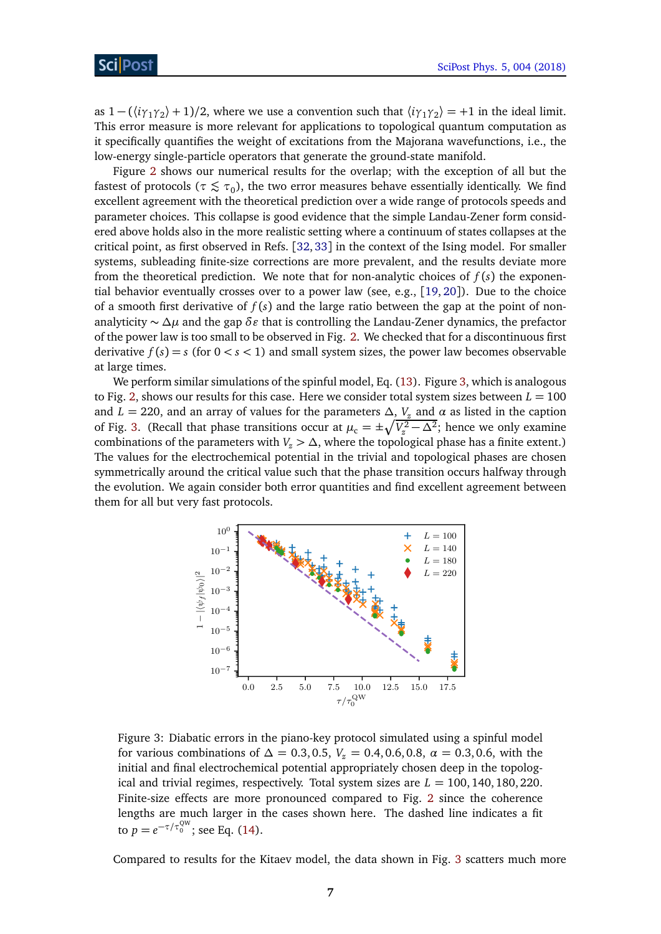as  $1 - (\langle i\gamma_1\gamma_2 \rangle + 1)/2$ , where we use a convention such that  $\langle i\gamma_1\gamma_2 \rangle = +1$  in the ideal limit. This error measure is more relevant for applications to topological quantum computation as it specifically quantifies the weight of excitations from the Majorana wavefunctions, i.e., the low-energy single-particle operators that generate the ground-state manifold.

Figure [2](#page-5-1) shows our numerical results for the overlap; with the exception of all but the fastest of protocols ( $\tau \lesssim \tau_0$ ), the two error measures behave essentially identically. We find excellent agreement with the theoretical prediction over a wide range of protocols speeds and parameter choices. This collapse is good evidence that the simple Landau-Zener form considered above holds also in the more realistic setting where a continuum of states collapses at the critical point, as first observed in Refs. [[32,](#page-17-9) [33](#page-17-10)] in the context of the Ising model. For smaller systems, subleading finite-size corrections are more prevalent, and the results deviate more from the theoretical prediction. We note that for non-analytic choices of  $f(s)$  the exponential behavior eventually crosses over to a power law (see, e.g., [[19,](#page-16-8) [20](#page-16-9)]). Due to the choice of a smooth first derivative of  $f(s)$  and the large ratio between the gap at the point of nonanalyticity ~ ∆*µ* and the gap δε that is controlling the Landau-Zener dynamics, the prefactor of the power law is too small to be observed in Fig. [2.](#page-5-1) We checked that for a discontinuous first derivative  $f(s) = s$  (for  $0 < s < 1$ ) and small system sizes, the power law becomes observable at large times.

We perform similar simulations of the spinful model, Eq. [\(13\)](#page-4-2). Figure [3,](#page-6-0) which is analogous to Fig. [2,](#page-5-1) shows our results for this case. Here we consider total system sizes between  $L = 100$ and *L* = 220, and an array of values for the parameters  $\Delta$ ,  $V_z$  and  $\alpha$  as listed in the caption of Fig. [3.](#page-6-0) (Recall that phase transitions occur at  $\mu_c = \pm \sqrt{V_z^2 - \Delta^2}$ ; hence we only examine combinations of the parameters with  $V_z > \Delta$ , where the topological phase has a finite extent.) The values for the electrochemical potential in the trivial and topological phases are chosen symmetrically around the critical value such that the phase transition occurs halfway through the evolution. We again consider both error quantities and find excellent agreement between them for all but very fast protocols.

<span id="page-6-0"></span>

Figure 3: Diabatic errors in the piano-key protocol simulated using a spinful model for various combinations of  $\Delta = 0.3, 0.5, V_{z} = 0.4, 0.6, 0.8, \alpha = 0.3, 0.6$ , with the initial and final electrochemical potential appropriately chosen deep in the topological and trivial regimes, respectively. Total system sizes are  $L = 100, 140, 180, 220$ . Finite-size effects are more pronounced compared to Fig. [2](#page-5-1) since the coherence lengths are much larger in the cases shown here. The dashed line indicates a fit to  $p = e^{-\tau/\tau_0^{\text{QW}}}$ ; see Eq. [\(14\)](#page-4-3).

Compared to results for the Kitaev model, the data shown in Fig. [3](#page-6-0) scatters much more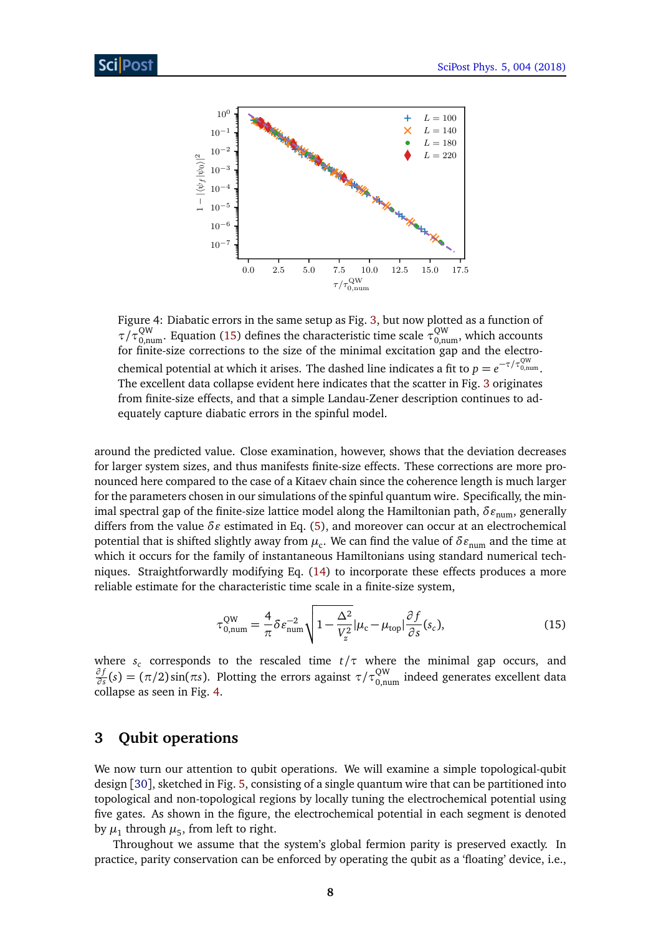<span id="page-7-2"></span>

Figure 4: Diabatic errors in the same setup as Fig. [3,](#page-6-0) but now plotted as a function of *τ*/*τ*<sup>QW</sup><sub>0,num</sub>. Equation [\(15\)](#page-7-1) defines the characteristic time scale  $\tau_{0,\text{num}}^{\text{QW}}$ , which accounts for finite-size corrections to the size of the minimal excitation gap and the electrochemical potential at which it arises. The dashed line indicates a fit to  $p=e^{-\tau/\tau^{\rm QW}_{0,\rm num}}.$ The excellent data collapse evident here indicates that the scatter in Fig. [3](#page-6-0) originates from finite-size effects, and that a simple Landau-Zener description continues to adequately capture diabatic errors in the spinful model.

around the predicted value. Close examination, however, shows that the deviation decreases for larger system sizes, and thus manifests finite-size effects. These corrections are more pronounced here compared to the case of a Kitaev chain since the coherence length is much larger for the parameters chosen in our simulations of the spinful quantum wire. Specifically, the minimal spectral gap of the finite-size lattice model along the Hamiltonian path, δε<sub>num</sub>, generally differs from the value δε estimated in Eq. [\(5\)](#page-3-2), and moreover can occur at an electrochemical potential that is shifted slightly away from  $\mu_{\rm c}$ . We can find the value of  $\delta\varepsilon_{\rm num}$  and the time at which it occurs for the family of instantaneous Hamiltonians using standard numerical techniques. Straightforwardly modifying Eq. [\(14\)](#page-4-3) to incorporate these effects produces a more reliable estimate for the characteristic time scale in a finite-size system,

<span id="page-7-1"></span>
$$
\tau_{0,\text{num}}^{\text{QW}} = \frac{4}{\pi} \delta \varepsilon_{\text{num}}^{-2} \sqrt{1 - \frac{\Delta^2}{V_z^2}} |\mu_{\text{c}} - \mu_{\text{top}}| \frac{\partial f}{\partial s}(s_c), \tag{15}
$$

where  $s_c$  corresponds to the rescaled time  $t/\tau$  where the minimal gap occurs, and *∂ f*  $\frac{\partial f}{\partial s}(s) = (\pi/2) \sin(\pi s)$ . Plotting the errors against  $\tau/\tau_{0,\text{num}}^{\text{QW}}$  indeed generates excellent data collapse as seen in Fig. [4.](#page-7-2)

# <span id="page-7-0"></span>**3 Qubit operations**

We now turn our attention to qubit operations. We will examine a simple topological-qubit design [[30](#page-17-7)], sketched in Fig. [5,](#page-8-0) consisting of a single quantum wire that can be partitioned into topological and non-topological regions by locally tuning the electrochemical potential using five gates. As shown in the figure, the electrochemical potential in each segment is denoted by  $\mu_1$  through  $\mu_5$ , from left to right.

Throughout we assume that the system's global fermion parity is preserved exactly. In practice, parity conservation can be enforced by operating the qubit as a 'floating' device, i.e.,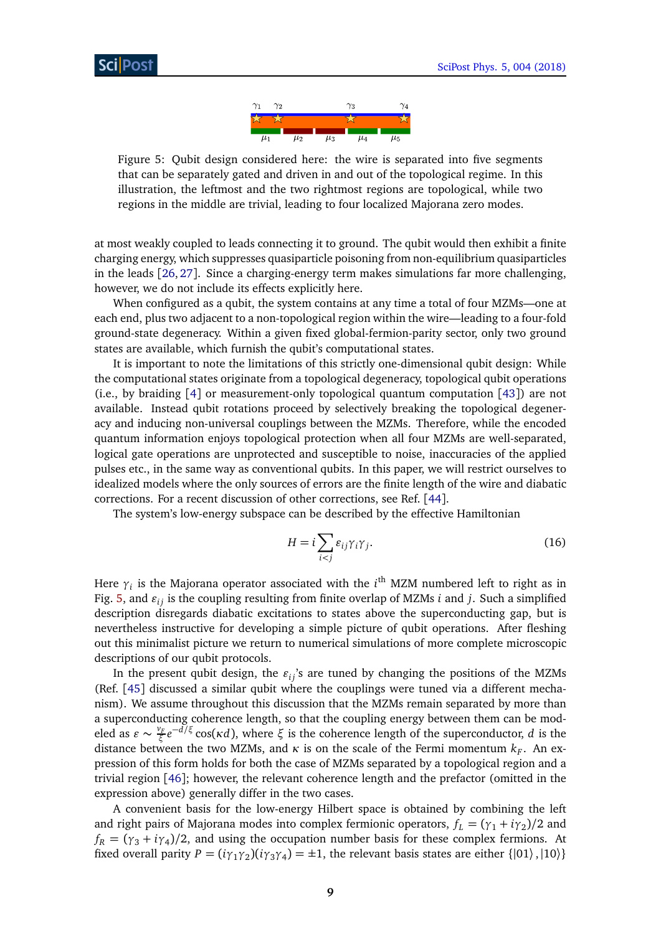

<span id="page-8-0"></span>Figure 5: Qubit design considered here: the wire is separated into five segments that can be separately gated and driven in and out of the topological regime. In this illustration, the leftmost and the two rightmost regions are topological, while two regions in the middle are trivial, leading to four localized Majorana zero modes.

at most weakly coupled to leads connecting it to ground. The qubit would then exhibit a finite charging energy, which suppresses quasiparticle poisoning from non-equilibrium quasiparticles in the leads [[26,](#page-17-12) [27](#page-17-4)]. Since a charging-energy term makes simulations far more challenging, however, we do not include its effects explicitly here.

When configured as a qubit, the system contains at any time a total of four MZMs—one at each end, plus two adjacent to a non-topological region within the wire—leading to a four-fold ground-state degeneracy. Within a given fixed global-fermion-parity sector, only two ground states are available, which furnish the qubit's computational states.

It is important to note the limitations of this strictly one-dimensional qubit design: While the computational states originate from a topological degeneracy, topological qubit operations (i.e., by braiding [[4](#page-15-3)] or measurement-only topological quantum computation [[43](#page-18-6)]) are not available. Instead qubit rotations proceed by selectively breaking the topological degeneracy and inducing non-universal couplings between the MZMs. Therefore, while the encoded quantum information enjoys topological protection when all four MZMs are well-separated, logical gate operations are unprotected and susceptible to noise, inaccuracies of the applied pulses etc., in the same way as conventional qubits. In this paper, we will restrict ourselves to idealized models where the only sources of errors are the finite length of the wire and diabatic corrections. For a recent discussion of other corrections, see Ref. [[44](#page-18-7)].

The system's low-energy subspace can be described by the effective Hamiltonian

<span id="page-8-1"></span>
$$
H = i \sum_{i < j} \varepsilon_{ij} \gamma_i \gamma_j. \tag{16}
$$

Here  $\gamma_i$  is the Majorana operator associated with the  $i^{\text{th}}$  MZM numbered left to right as in Fig. [5,](#page-8-0) and  $\varepsilon_{ij}$  is the coupling resulting from finite overlap of MZMs *i* and *j*. Such a simplified description disregards diabatic excitations to states above the superconducting gap, but is nevertheless instructive for developing a simple picture of qubit operations. After fleshing out this minimalist picture we return to numerical simulations of more complete microscopic descriptions of our qubit protocols.

In the present qubit design, the  $\varepsilon_{ij}$ 's are tuned by changing the positions of the MZMs (Ref. [[45](#page-18-8)] discussed a similar qubit where the couplings were tuned via a different mechanism). We assume throughout this discussion that the MZMs remain separated by more than a superconducting coherence length, so that the coupling energy between them can be modeled as  $\varepsilon \sim \frac{v_F}{\varepsilon}$ *ξ e* <sup>−</sup>*d/ξ* cos(*κd*), where *<sup>ξ</sup>* is the coherence length of the superconductor, *<sup>d</sup>* is the distance between the two MZMs, and  $\kappa$  is on the scale of the Fermi momentum  $k_F$ . An expression of this form holds for both the case of MZMs separated by a topological region and a trivial region [[46](#page-18-9)]; however, the relevant coherence length and the prefactor (omitted in the expression above) generally differ in the two cases.

A convenient basis for the low-energy Hilbert space is obtained by combining the left and right pairs of Majorana modes into complex fermionic operators,  $f_L = (\gamma_1 + i \gamma_2)/2$  and  $f_R = (\gamma_3 + i\gamma_4)/2$ , and using the occupation number basis for these complex fermions. At fixed overall parity  $P = (i\gamma_1\gamma_2)(i\gamma_3\gamma_4) = \pm 1$ , the relevant basis states are either  $\{|01\rangle, |10\rangle\}$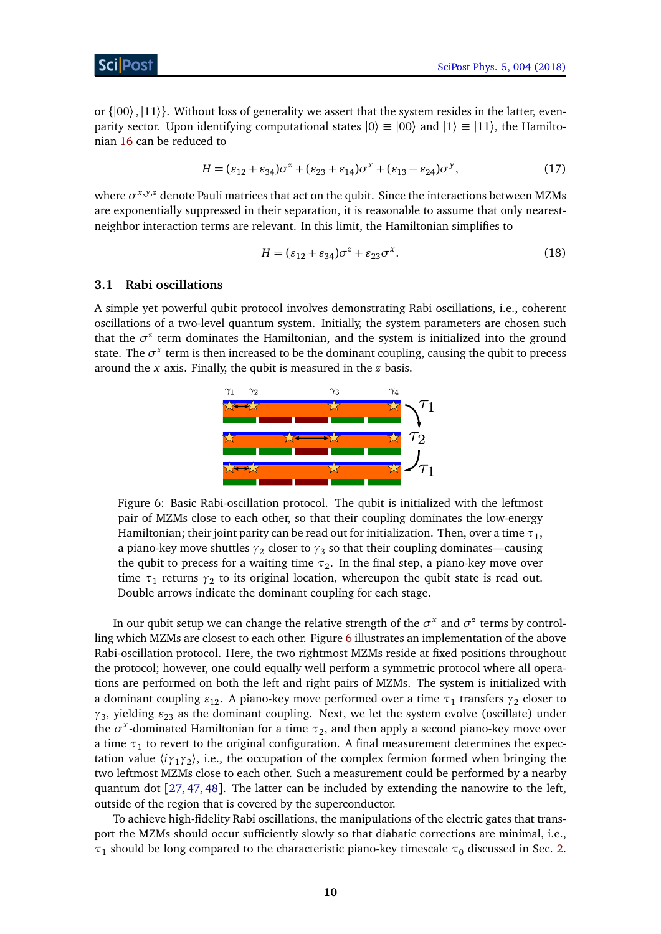or  $\{|00\rangle,|11\rangle\}$ . Without loss of generality we assert that the system resides in the latter, evenparity sector. Upon identifying computational states  $|0\rangle \equiv |00\rangle$  and  $|1\rangle \equiv |11\rangle$ , the Hamiltonian [16](#page-8-1) can be reduced to

$$
H = (\varepsilon_{12} + \varepsilon_{34})\sigma^z + (\varepsilon_{23} + \varepsilon_{14})\sigma^x + (\varepsilon_{13} - \varepsilon_{24})\sigma^y, \tag{17}
$$

where  $\sigma^{x,y,z}$  denote Pauli matrices that act on the qubit. Since the interactions between MZMs are exponentially suppressed in their separation, it is reasonable to assume that only nearestneighbor interaction terms are relevant. In this limit, the Hamiltonian simplifies to

$$
H = (\varepsilon_{12} + \varepsilon_{34})\sigma^z + \varepsilon_{23}\sigma^x. \tag{18}
$$

#### <span id="page-9-0"></span>**3.1 Rabi oscillations**

<span id="page-9-1"></span>A simple yet powerful qubit protocol involves demonstrating Rabi oscillations, i.e., coherent oscillations of a two-level quantum system. Initially, the system parameters are chosen such that the  $\sigma^z$  term dominates the Hamiltonian, and the system is initialized into the ground state. The  $\sigma^x$  term is then increased to be the dominant coupling, causing the qubit to precess around the *x* axis. Finally, the qubit is measured in the *z* basis.



Figure 6: Basic Rabi-oscillation protocol. The qubit is initialized with the leftmost pair of MZMs close to each other, so that their coupling dominates the low-energy Hamiltonian; their joint parity can be read out for initialization. Then, over a time  $\tau_1$ , a piano-key move shuttles  $_{\gamma_2}$  closer to  $_{\gamma_3}$  so that their coupling dominates—causing the qubit to precess for a waiting time  $\tau_2$ . In the final step, a piano-key move over time *τ*<sub>1</sub> returns *γ*<sub>2</sub> to its original location, whereupon the qubit state is read out. Double arrows indicate the dominant coupling for each stage.

In our qubit setup we can change the relative strength of the  $\sigma^x$  and  $\sigma^z$  terms by controlling which MZMs are closest to each other. Figure [6](#page-9-1) illustrates an implementation of the above Rabi-oscillation protocol. Here, the two rightmost MZMs reside at fixed positions throughout the protocol; however, one could equally well perform a symmetric protocol where all operations are performed on both the left and right pairs of MZMs. The system is initialized with a dominant coupling  $\varepsilon_{12}$ . A piano-key move performed over a time  $\tau_1$  transfers  $γ_2$  closer to  $\gamma_3$ , yielding  $\varepsilon_{23}$  as the dominant coupling. Next, we let the system evolve (oscillate) under the  $\sigma^x$ -dominated Hamiltonian for a time  $\tau_2$ , and then apply a second piano-key move over a time  $\tau_1$  to revert to the original configuration. A final measurement determines the expectation value 〈*iγ*1*γ*<sup>2</sup> 〉, i.e., the occupation of the complex fermion formed when bringing the two leftmost MZMs close to each other. Such a measurement could be performed by a nearby quantum dot [[27,](#page-17-4) [47,](#page-18-10) [48](#page-18-11)]. The latter can be included by extending the nanowire to the left, outside of the region that is covered by the superconductor.

To achieve high-fidelity Rabi oscillations, the manipulations of the electric gates that transport the MZMs should occur sufficiently slowly so that diabatic corrections are minimal, i.e., *τ*<sub>1</sub> should be long compared to the characteristic piano-key timescale *τ*<sub>0</sub> discussed in Sec. [2.](#page-2-0)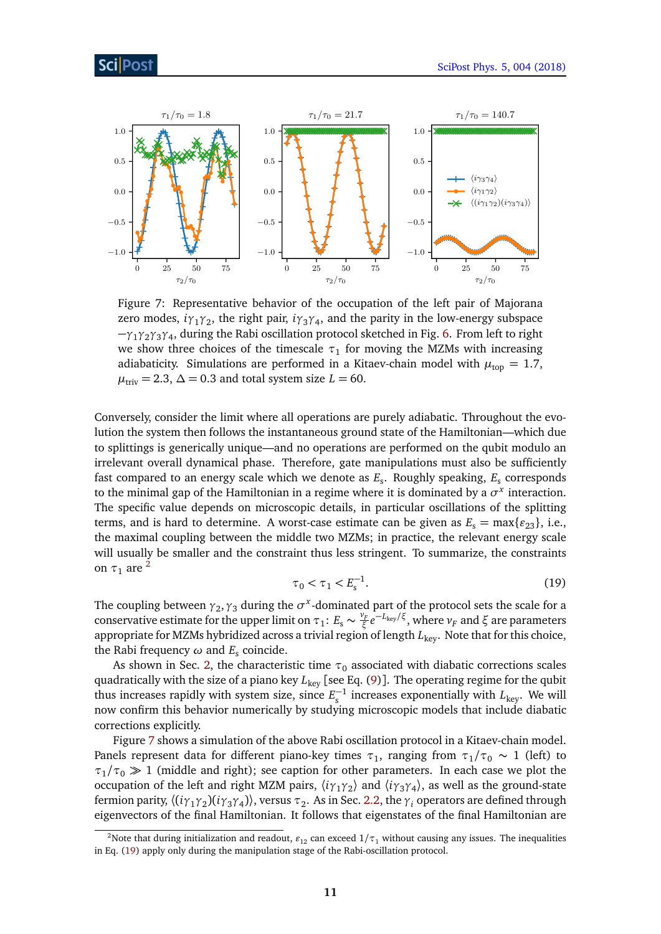<span id="page-10-1"></span>

Figure 7: Representative behavior of the occupation of the left pair of Majorana zero modes, *iγ*1*γ*<sup>2</sup> , the right pair, *iγ*3*γ*<sup>4</sup> , and the parity in the low-energy subspace −*γ*1*γ*2*γ*3*γ*<sup>4</sup> , during the Rabi oscillation protocol sketched in Fig. [6.](#page-9-1) From left to right we show three choices of the timescale  $\tau_1$  for moving the MZMs with increasing adiabaticity. Simulations are performed in a Kitaev-chain model with  $\mu_{\text{top}} = 1.7$ ,  $\mu_{\text{triv}} = 2.3, \Delta = 0.3$  and total system size  $L = 60$ .

Conversely, consider the limit where all operations are purely adiabatic. Throughout the evolution the system then follows the instantaneous ground state of the Hamiltonian—which due to splittings is generically unique—and no operations are performed on the qubit modulo an irrelevant overall dynamical phase. Therefore, gate manipulations must also be sufficiently fast compared to an energy scale which we denote as *E*<sup>s</sup> . Roughly speaking, *E*<sup>s</sup> corresponds to the minimal gap of the Hamiltonian in a regime where it is dominated by a  $\sigma^x$  interaction. The specific value depends on microscopic details, in particular oscillations of the splitting terms, and is hard to determine. A worst-case estimate can be given as  $E_s = \max\{\epsilon_{23}\}\$ , i.e., the maximal coupling between the middle two MZMs; in practice, the relevant energy scale will usually be smaller and the constraint thus less stringent. To summarize, the constraints on  $\tau_1$  are <sup>[2](#page-10-0)</sup>

$$
\tau_0 < \tau_1 < E_s^{-1}.\tag{19}
$$

<span id="page-10-2"></span>The coupling between  $\gamma_2, \gamma_3$  during the  $\sigma^x$ -dominated part of the protocol sets the scale for a conservative estimate for the upper limit on  $\tau_1$ :  $E_s \sim \frac{v_F}{\xi}$ *ξ e* <sup>−</sup>*L*key*/ξ*, where *<sup>v</sup><sup>F</sup>* and *<sup>ξ</sup>* are parameters appropriate for MZMs hybridized across a trivial region of length  $L_{\text{key}}$ . Note that for this choice, the Rabi frequency *ω* and *E*<sup>s</sup> coincide.

As shown in Sec. [2,](#page-2-0) the characteristic time  $\tau_0$  associated with diabatic corrections scales quadratically with the size of a piano key *L*<sub>key</sub> [see Eq. [\(9\)](#page-4-0)]. The operating regime for the qubit thus increases rapidly with system size, since  $E_s^{-1}$  increases exponentially with  $L_{\text{key}}$ . We will now confirm this behavior numerically by studying microscopic models that include diabatic corrections explicitly.

Figure [7](#page-10-1) shows a simulation of the above Rabi oscillation protocol in a Kitaev-chain model. Panels represent data for different piano-key times  $\tau_1$ , ranging from  $\tau_1/\tau_0 \sim 1$  (left) to  $\tau_1/\tau_0 \gg 1$  (middle and right); see caption for other parameters. In each case we plot the occupation of the left and right MZM pairs,  $\langle i\gamma_1\gamma_2 \rangle$  and  $\langle i\gamma_3\gamma_4 \rangle$ , as well as the ground-state fermion parity,  $\langle (i\gamma_1\gamma_2)(i\gamma_3\gamma_4) \rangle$ , versus  $\tau_2$ . As in Sec. [2.2,](#page-5-0) the  $\gamma_i$  operators are defined through eigenvectors of the final Hamiltonian. It follows that eigenstates of the final Hamiltonian are

<span id="page-10-0"></span><sup>&</sup>lt;sup>2</sup>Note that during initialization and readout,  $\varepsilon_{12}$  can exceed  $1/\tau_1$  without causing any issues. The inequalities in Eq. [\(19\)](#page-10-2) apply only during the manipulation stage of the Rabi-oscillation protocol.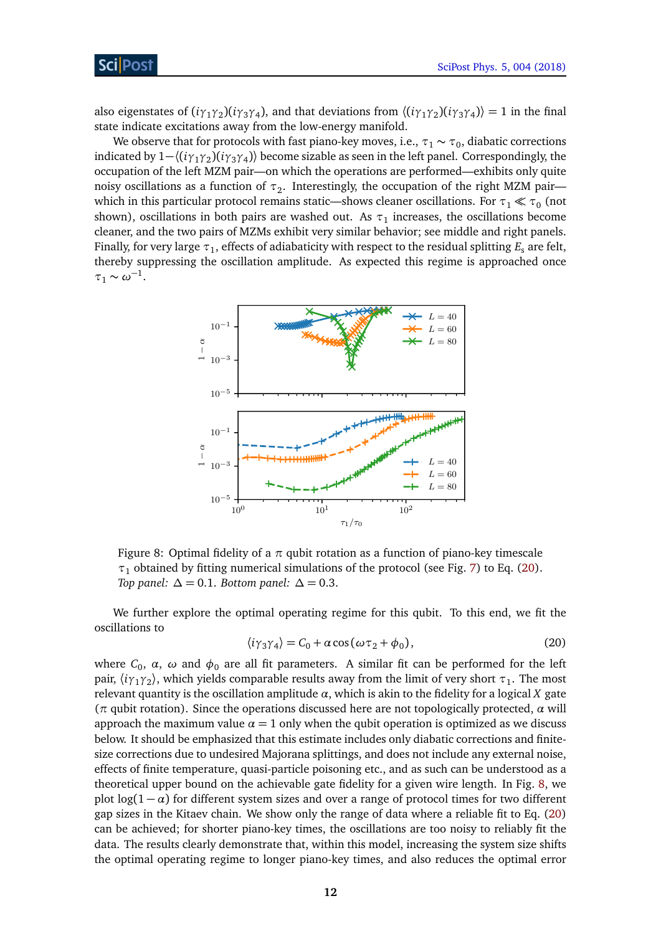also eigenstates of  $(i\gamma_1\gamma_2)(i\gamma_3\gamma_4)$ , and that deviations from  $\langle (i\gamma_1\gamma_2)(i\gamma_3\gamma_4) \rangle = 1$  in the final state indicate excitations away from the low-energy manifold.

We observe that for protocols with fast piano-key moves, i.e.,  $\tau_1 \sim \tau_0$ , diabatic corrections indicated by 1−〈(*iγ*1*γ*<sup>2</sup> )(*iγ*3*γ*<sup>4</sup> )〉 become sizable as seen in the left panel. Correspondingly, the occupation of the left MZM pair—on which the operations are performed—exhibits only quite noisy oscillations as a function of  $\tau_2$ . Interestingly, the occupation of the right MZM pair which in this particular protocol remains static—shows cleaner oscillations. For  $\tau_1 \ll \tau_0$  (not shown), oscillations in both pairs are washed out. As  $\tau_1$  increases, the oscillations become cleaner, and the two pairs of MZMs exhibit very similar behavior; see middle and right panels. Finally, for very large  $\tau_1$ , effects of adiabaticity with respect to the residual splitting  $E_\mathrm{s}$  are felt, thereby suppressing the oscillation amplitude. As expected this regime is approached once  $\tau_1 \sim \omega^{-1}.$ 

<span id="page-11-1"></span>

Figure 8: Optimal fidelity of a  $\pi$  qubit rotation as a function of piano-key timescale  $\tau_1$  obtained by fitting numerical simulations of the protocol (see Fig. [7\)](#page-10-1) to Eq. [\(20\)](#page-11-0). *Top panel:*  $\Delta = 0.1$ *. Bottom panel:*  $\Delta = 0.3$ *.* 

<span id="page-11-0"></span>We further explore the optimal operating regime for this qubit. To this end, we fit the oscillations to

$$
\langle i\gamma_3\gamma_4 \rangle = C_0 + \alpha \cos(\omega \tau_2 + \phi_0), \tag{20}
$$

where  $C_0$ , *α*, *ω* and  $\phi_0$  are all fit parameters. A similar fit can be performed for the left pair,  $\langle i\gamma_1\gamma_2\rangle$ , which yields comparable results away from the limit of very short *τ*<sub>1</sub>. The most relevant quantity is the oscillation amplitude *α*, which is akin to the fidelity for a logical *X* gate (*π* qubit rotation). Since the operations discussed here are not topologically protected, *α* will approach the maximum value  $\alpha = 1$  only when the qubit operation is optimized as we discuss below. It should be emphasized that this estimate includes only diabatic corrections and finitesize corrections due to undesired Majorana splittings, and does not include any external noise, effects of finite temperature, quasi-particle poisoning etc., and as such can be understood as a theoretical upper bound on the achievable gate fidelity for a given wire length. In Fig. [8,](#page-11-1) we plot  $log(1 - \alpha)$  for different system sizes and over a range of protocol times for two different gap sizes in the Kitaev chain. We show only the range of data where a reliable fit to Eq. [\(20\)](#page-11-0) can be achieved; for shorter piano-key times, the oscillations are too noisy to reliably fit the data. The results clearly demonstrate that, within this model, increasing the system size shifts the optimal operating regime to longer piano-key times, and also reduces the optimal error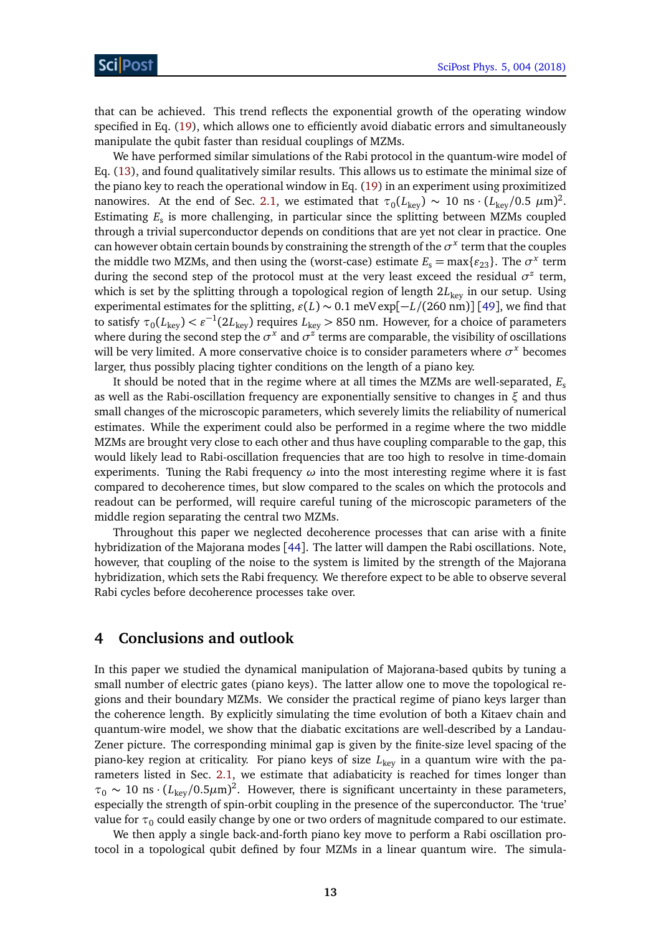that can be achieved. This trend reflects the exponential growth of the operating window specified in Eq. [\(19\)](#page-10-2), which allows one to efficiently avoid diabatic errors and simultaneously manipulate the qubit faster than residual couplings of MZMs.

We have performed similar simulations of the Rabi protocol in the quantum-wire model of Eq. [\(13\)](#page-4-2), and found qualitatively similar results. This allows us to estimate the minimal size of the piano key to reach the operational window in Eq. [\(19\)](#page-10-2) in an experiment using proximitized nanowires. At the end of Sec. [2.1,](#page-2-1) we estimated that  $\tau_0(L_{\rm key}) \sim 10$  ns ·  $(L_{\rm key}/0.5 \ \mu{\rm m})^2$ . Estimating *E*<sup>s</sup> is more challenging, in particular since the splitting between MZMs coupled through a trivial superconductor depends on conditions that are yet not clear in practice. One can however obtain certain bounds by constraining the strength of the  $\sigma^x$  term that the couples the middle two MZMs, and then using the (worst-case) estimate  $E_s = \max\{\varepsilon_{23}\}\.$  The  $\sigma^x$  term during the second step of the protocol must at the very least exceed the residual  $\sigma^z$  term, which is set by the splitting through a topological region of length 2L<sub>key</sub> in our setup. Using experimental estimates for the splitting,  $\varepsilon(L) \sim 0.1$  meV exp[ $-L/(260 \text{ nm})$ ] [[49](#page-18-12)], we find that to satisfy  $\tau_0(L_{\text{key}}) < \varepsilon^{-1}(2L_{\text{key}})$  requires  $L_{\text{key}} > 850$  nm. However, for a choice of parameters where during the second step the  $\sigma^x$  and  $\sigma^z$  terms are comparable, the visibility of oscillations will be very limited. A more conservative choice is to consider parameters where *σ <sup>x</sup>* becomes larger, thus possibly placing tighter conditions on the length of a piano key.

It should be noted that in the regime where at all times the MZMs are well-separated, *E*<sup>s</sup> as well as the Rabi-oscillation frequency are exponentially sensitive to changes in *ξ* and thus small changes of the microscopic parameters, which severely limits the reliability of numerical estimates. While the experiment could also be performed in a regime where the two middle MZMs are brought very close to each other and thus have coupling comparable to the gap, this would likely lead to Rabi-oscillation frequencies that are too high to resolve in time-domain experiments. Tuning the Rabi frequency *ω* into the most interesting regime where it is fast compared to decoherence times, but slow compared to the scales on which the protocols and readout can be performed, will require careful tuning of the microscopic parameters of the middle region separating the central two MZMs.

Throughout this paper we neglected decoherence processes that can arise with a finite hybridization of the Majorana modes [[44](#page-18-7)]. The latter will dampen the Rabi oscillations. Note, however, that coupling of the noise to the system is limited by the strength of the Majorana hybridization, which sets the Rabi frequency. We therefore expect to be able to observe several Rabi cycles before decoherence processes take over.

# <span id="page-12-0"></span>**4 Conclusions and outlook**

In this paper we studied the dynamical manipulation of Majorana-based qubits by tuning a small number of electric gates (piano keys). The latter allow one to move the topological regions and their boundary MZMs. We consider the practical regime of piano keys larger than the coherence length. By explicitly simulating the time evolution of both a Kitaev chain and quantum-wire model, we show that the diabatic excitations are well-described by a Landau-Zener picture. The corresponding minimal gap is given by the finite-size level spacing of the piano-key region at criticality. For piano keys of size *L*key in a quantum wire with the parameters listed in Sec. [2.1,](#page-2-1) we estimate that adiabaticity is reached for times longer than  $\tau_0 \sim 10 \text{ ns} \cdot (L_{\text{key}}/0.5 \mu \text{m})^2$ . However, there is significant uncertainty in these parameters, especially the strength of spin-orbit coupling in the presence of the superconductor. The 'true' value for  $\tau_0$  could easily change by one or two orders of magnitude compared to our estimate.

We then apply a single back-and-forth piano key move to perform a Rabi oscillation protocol in a topological qubit defined by four MZMs in a linear quantum wire. The simula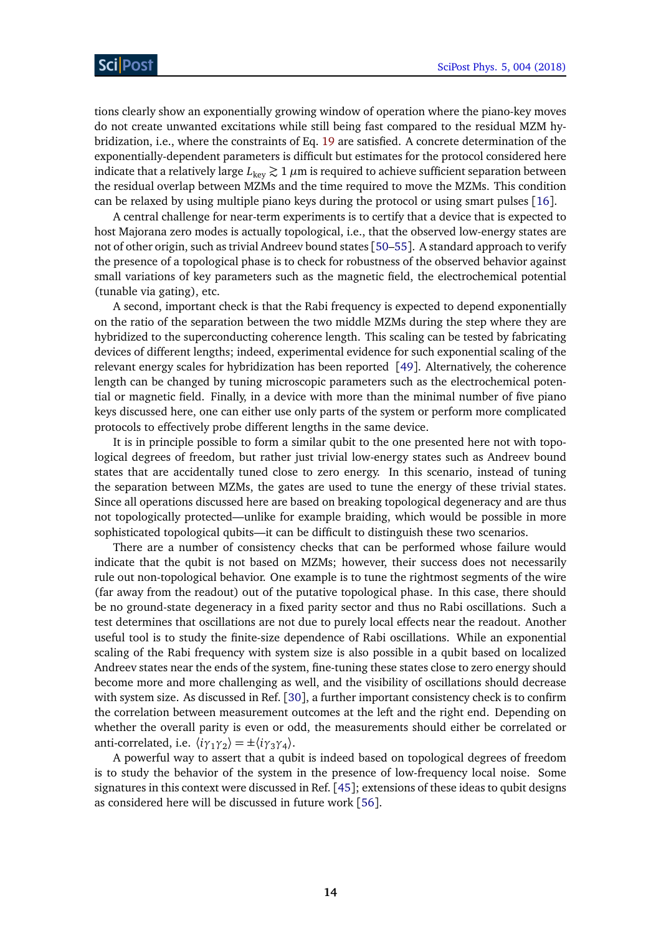tions clearly show an exponentially growing window of operation where the piano-key moves do not create unwanted excitations while still being fast compared to the residual MZM hybridization, i.e., where the constraints of Eq. [19](#page-10-2) are satisfied. A concrete determination of the exponentially-dependent parameters is difficult but estimates for the protocol considered here indicate that a relatively large  $L_{\text{key}} \gtrsim 1 \mu m$  is required to achieve sufficient separation between the residual overlap between MZMs and the time required to move the MZMs. This condition can be relaxed by using multiple piano keys during the protocol or using smart pulses [[16](#page-16-10)].

A central challenge for near-term experiments is to certify that a device that is expected to host Majorana zero modes is actually topological, i.e., that the observed low-energy states are not of other origin, such as trivial Andreev bound states [[50](#page-18-13)[–55](#page-19-0)]. A standard approach to verify the presence of a topological phase is to check for robustness of the observed behavior against small variations of key parameters such as the magnetic field, the electrochemical potential (tunable via gating), etc.

A second, important check is that the Rabi frequency is expected to depend exponentially on the ratio of the separation between the two middle MZMs during the step where they are hybridized to the superconducting coherence length. This scaling can be tested by fabricating devices of different lengths; indeed, experimental evidence for such exponential scaling of the relevant energy scales for hybridization has been reported [[49](#page-18-12)]. Alternatively, the coherence length can be changed by tuning microscopic parameters such as the electrochemical potential or magnetic field. Finally, in a device with more than the minimal number of five piano keys discussed here, one can either use only parts of the system or perform more complicated protocols to effectively probe different lengths in the same device.

It is in principle possible to form a similar qubit to the one presented here not with topological degrees of freedom, but rather just trivial low-energy states such as Andreev bound states that are accidentally tuned close to zero energy. In this scenario, instead of tuning the separation between MZMs, the gates are used to tune the energy of these trivial states. Since all operations discussed here are based on breaking topological degeneracy and are thus not topologically protected—unlike for example braiding, which would be possible in more sophisticated topological qubits—it can be difficult to distinguish these two scenarios.

There are a number of consistency checks that can be performed whose failure would indicate that the qubit is not based on MZMs; however, their success does not necessarily rule out non-topological behavior. One example is to tune the rightmost segments of the wire (far away from the readout) out of the putative topological phase. In this case, there should be no ground-state degeneracy in a fixed parity sector and thus no Rabi oscillations. Such a test determines that oscillations are not due to purely local effects near the readout. Another useful tool is to study the finite-size dependence of Rabi oscillations. While an exponential scaling of the Rabi frequency with system size is also possible in a qubit based on localized Andreev states near the ends of the system, fine-tuning these states close to zero energy should become more and more challenging as well, and the visibility of oscillations should decrease with system size. As discussed in Ref. [[30](#page-17-7)], a further important consistency check is to confirm the correlation between measurement outcomes at the left and the right end. Depending on whether the overall parity is even or odd, the measurements should either be correlated or anti-correlated, i.e.  $\langle i\gamma_1\gamma_2 \rangle = \pm \langle i\gamma_3\gamma_4 \rangle$ .

A powerful way to assert that a qubit is indeed based on topological degrees of freedom is to study the behavior of the system in the presence of low-frequency local noise. Some signatures in this context were discussed in Ref. [[45](#page-18-8)]; extensions of these ideas to qubit designs as considered here will be discussed in future work [[56](#page-19-1)].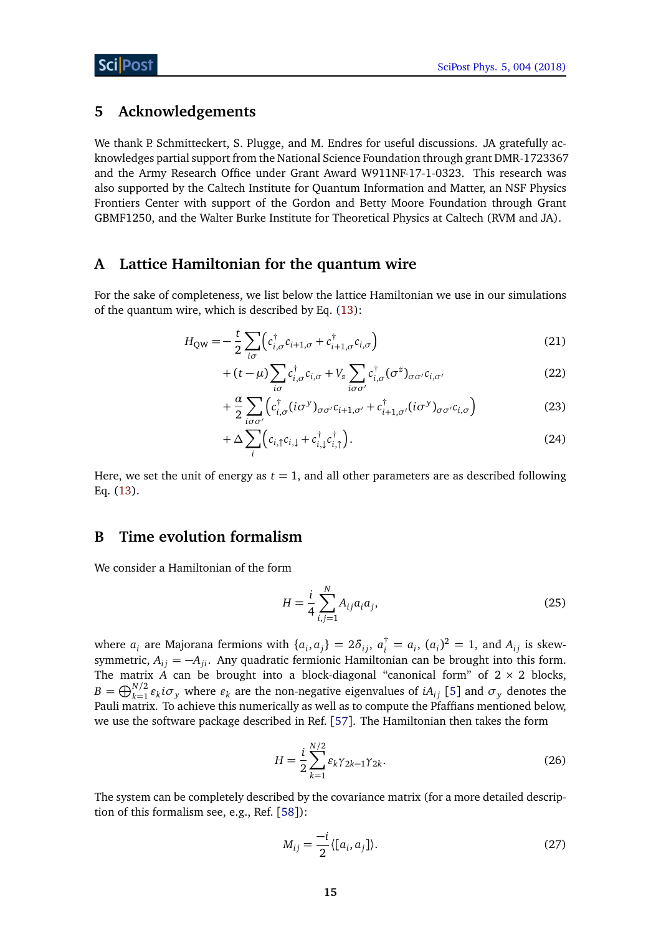# <span id="page-14-0"></span>**5 Acknowledgements**

We thank P. Schmitteckert, S. Plugge, and M. Endres for useful discussions. JA gratefully acknowledges partial support from the National Science Foundation through grant DMR-1723367 and the Army Research Office under Grant Award W911NF-17-1-0323. This research was also supported by the Caltech Institute for Quantum Information and Matter, an NSF Physics Frontiers Center with support of the Gordon and Betty Moore Foundation through Grant GBMF1250, and the Walter Burke Institute for Theoretical Physics at Caltech (RVM and JA).

# <span id="page-14-1"></span>**A Lattice Hamiltonian for the quantum wire**

For the sake of completeness, we list below the lattice Hamiltonian we use in our simulations of the quantum wire, which is described by Eq. [\(13\)](#page-4-2):

$$
H_{\rm QW} = -\frac{t}{2} \sum_{i\sigma} \left( c_{i,\sigma}^{\dagger} c_{i+1,\sigma} + c_{i+1,\sigma}^{\dagger} c_{i,\sigma} \right)
$$
(21)

$$
+(t-\mu)\sum_{i\sigma}c_{i,\sigma}^{\dagger}c_{i,\sigma} + V_z\sum_{i\sigma\sigma'}c_{i,\sigma}^{\dagger}(\sigma^z)_{\sigma\sigma'}c_{i,\sigma'} \tag{22}
$$

$$
+\frac{\alpha}{2}\sum_{i\sigma\sigma'}\left(c_{i,\sigma}^{\dagger}(i\sigma^{\gamma})_{\sigma\sigma'}c_{i+1,\sigma'}+c_{i+1,\sigma'}^{\dagger}(i\sigma^{\gamma})_{\sigma\sigma'}c_{i,\sigma}\right)
$$
(23)

$$
+\Delta\sum_{i}\Big(c_{i,\uparrow}c_{i,\downarrow}+c_{i,\downarrow}^{\dagger}c_{i,\uparrow}^{\dagger}\Big).
$$
 (24)

Here, we set the unit of energy as  $t = 1$ , and all other parameters are as described following Eq. [\(13\)](#page-4-2).

# <span id="page-14-2"></span>**B Time evolution formalism**

We consider a Hamiltonian of the form

$$
H = \frac{i}{4} \sum_{i,j=1}^{N} A_{ij} a_i a_j,
$$
 (25)

where  $a_i$  are Majorana fermions with  $\{a_i, a_j\} = 2\delta_{ij}$ ,  $a_i^{\dagger} = a_i$ ,  $(a_i)^2 = 1$ , and  $A_{ij}$  is skewsymmetric,  $A_{ij} = -A_{ji}$ . Any quadratic fermionic Hamiltonian can be brought into this form. The matrix  $\vec{A}$  can be brought into a block-diagonal "canonical form" of  $2 \times 2$  blocks,  $B = \bigoplus_{k=1}^{N/2} \varepsilon_k i \sigma_y$  where  $\varepsilon_k$  are the non-negative eigenvalues of *iA*<sub>*ij*</sub> [[5](#page-16-0)] and  $\sigma_y$  denotes the Pauli matrix. To achieve this numerically as well as to compute the Pfaffians mentioned below, we use the software package described in Ref. [[57](#page-19-2)]. The Hamiltonian then takes the form

$$
H = \frac{i}{2} \sum_{k=1}^{N/2} \varepsilon_k \gamma_{2k-1} \gamma_{2k}.
$$
 (26)

The system can be completely described by the covariance matrix (for a more detailed description of this formalism see, e.g., Ref. [[58](#page-19-3)]):

$$
M_{ij} = \frac{-i}{2} \langle [a_i, a_j] \rangle.
$$
 (27)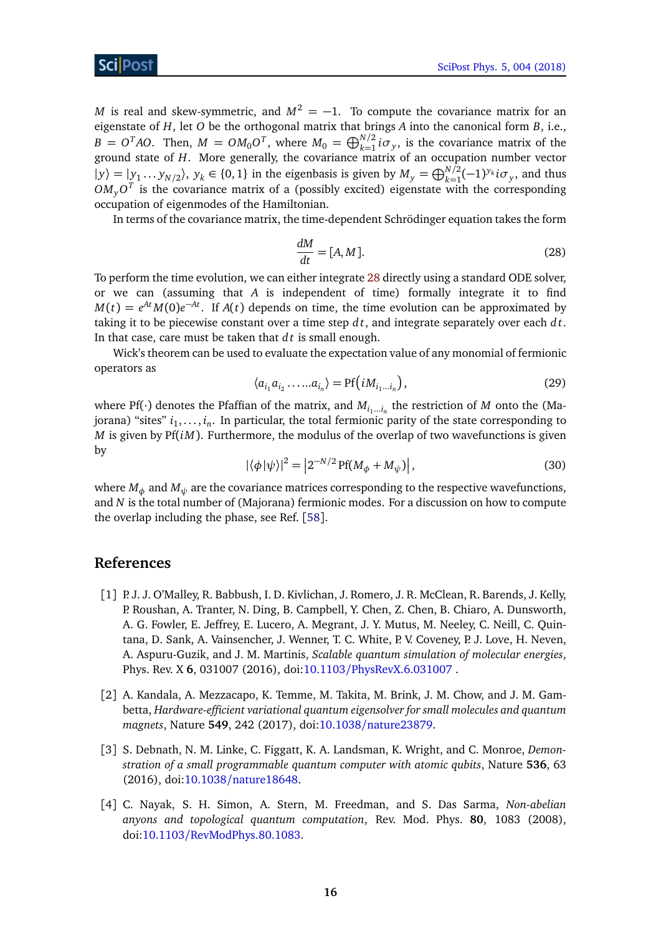*M* is real and skew-symmetric, and  $M^2 = -1$ . To compute the covariance matrix for an eigenstate of *H*, let *O* be the orthogonal matrix that brings *A* into the canonical form *B*, i.e.,  $B = O<sup>T</sup>AO$ . Then,  $M = OM<sub>0</sub>O<sup>T</sup>$ , where  $M<sub>0</sub> = \bigoplus_{k=1}^{N/2} i \sigma<sub>y</sub>$ , is the covariance matrix of the ground state of *H*. More generally, the covariance matrix of an occupation number vector  $|y\rangle = |y_1 \dots y_{N/2}\rangle$ ,  $y_k \in \{0, 1\}$  in the eigenbasis is given by  $M_y = \bigoplus_{k=1}^{N/2} (-1)^{y_k} i \sigma_y$ , and thus  $OM_yO^T$  is the covariance matrix of a (possibly excited) eigenstate with the corresponding occupation of eigenmodes of the Hamiltonian.

<span id="page-15-4"></span>In terms of the covariance matrix, the time-dependent Schrödinger equation takes the form

$$
\frac{dM}{dt} = [A, M].\tag{28}
$$

To perform the time evolution, we can either integrate [28](#page-15-4) directly using a standard ODE solver, or we can (assuming that *A* is independent of time) formally integrate it to find  $M(t) = e^{At} M(0) e^{-At}$ . If *A*(*t*) depends on time, the time evolution can be approximated by taking it to be piecewise constant over a time step *d t*, and integrate separately over each *d t*. In that case, care must be taken that *d t* is small enough.

Wick's theorem can be used to evaluate the expectation value of any monomial of fermionic operators as

$$
\langle a_{i_1} a_{i_2} \dots a_{i_n} \rangle = \text{Pf}(iM_{i_1 \dots i_n}),
$$
\n(29)

where Pf( $\cdot$ ) denotes the Pfaffian of the matrix, and  $M_{i_1...i_n}$  the restriction of *M* onto the (Majorana) "sites"  $i_1,\ldots,i_n.$  In particular, the total fermionic parity of the state corresponding to *M* is given by Pf(*iM*). Furthermore, the modulus of the overlap of two wavefunctions is given by

$$
|\langle \phi | \psi \rangle|^2 = \left| 2^{-N/2} \operatorname{Pf}(M_{\phi} + M_{\psi}) \right|, \tag{30}
$$

<span id="page-15-0"></span>where  $M_\phi$  and  $M_\psi$  are the covariance matrices corresponding to the respective wavefunctions, and *N* is the total number of (Majorana) fermionic modes. For a discussion on how to compute the overlap including the phase, see Ref. [[58](#page-19-3)].

### **References**

- <span id="page-15-1"></span>[1] P.J. J. O'Malley, R. Babbush, I. D. Kivlichan, J. Romero, J. R. McClean, R. Barends, J. Kelly, P. Roushan, A. Tranter, N. Ding, B. Campbell, Y. Chen, Z. Chen, B. Chiaro, A. Dunsworth, A. G. Fowler, E. Jeffrey, E. Lucero, A. Megrant, J. Y. Mutus, M. Neeley, C. Neill, C. Quintana, D. Sank, A. Vainsencher, J. Wenner, T. C. White, P. V. Coveney, P. J. Love, H. Neven, A. Aspuru-Guzik, and J. M. Martinis, *Scalable quantum simulation of molecular energies*, Phys. Rev. X **6**, 031007 (2016), doi:10.1103/[PhysRevX.6.031007](http://dx.doi.org/10.1103/PhysRevX.6.031007) .
- [2] A. Kandala, A. Mezzacapo, K. Temme, M. Takita, M. Brink, J. M. Chow, and J. M. Gambetta, *Hardware-efficient variational quantum eigensolver for small molecules and quantum magnets*, Nature **549**, 242 (2017), doi:10.1038/[nature23879.](http://dx.doi.org/10.1038/nature23879)
- <span id="page-15-2"></span>[3] S. Debnath, N. M. Linke, C. Figgatt, K. A. Landsman, K. Wright, and C. Monroe, *Demonstration of a small programmable quantum computer with atomic qubits*, Nature **536**, 63 (2016), doi:10.1038/[nature18648.](http://dx.doi.org/10.1038/nature18648)
- <span id="page-15-3"></span>[4] C. Nayak, S. H. Simon, A. Stern, M. Freedman, and S. Das Sarma, *Non-abelian anyons and topological quantum computation*, Rev. Mod. Phys. **80**, 1083 (2008), doi:10.1103/[RevModPhys.80.1083.](http://dx.doi.org/10.1103/RevModPhys.80.1083)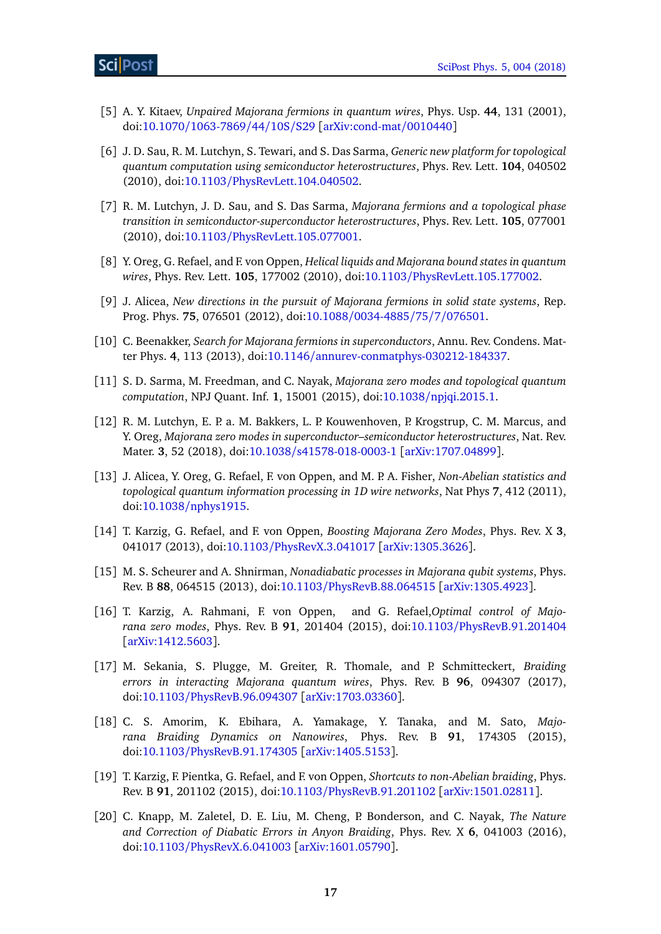- <span id="page-16-0"></span>[5] A. Y. Kitaev, *Unpaired Majorana fermions in quantum wires*, Phys. Usp. **44**, 131 (2001), doi:10.1070/[1063-7869](http://dx.doi.org/10.1070/1063-7869/44/10S/S29)/44/10S/S29 [[arXiv:cond-mat](http://arxiv.org/abs/cond-mat/0010440)/0010440]
- [6] J. D. Sau, R. M. Lutchyn, S. Tewari, and S. Das Sarma, *Generic new platform for topological quantum computation using semiconductor heterostructures*, Phys. Rev. Lett. **104**, 040502 (2010), doi:10.1103/[PhysRevLett.104.040502.](http://dx.doi.org/10.1103/PhysRevLett.104.040502)
- <span id="page-16-6"></span>[7] R. M. Lutchyn, J. D. Sau, and S. Das Sarma, *Majorana fermions and a topological phase transition in semiconductor-superconductor heterostructures*, Phys. Rev. Lett. **105**, 077001 (2010), doi:10.1103/[PhysRevLett.105.077001.](http://dx.doi.org/10.1103/PhysRevLett.105.077001)
- <span id="page-16-7"></span>[8] Y. Oreg, G. Refael, and F. von Oppen, *Helical liquids and Majorana bound states in quantum wires*, Phys. Rev. Lett. **105**, 177002 (2010), doi:10.1103/[PhysRevLett.105.177002.](http://dx.doi.org/10.1103/PhysRevLett.105.177002)
- [9] J. Alicea, *New directions in the pursuit of Majorana fermions in solid state systems*, Rep. Prog. Phys. **75**, 076501 (2012), doi:10.1088/[0034-4885](http://dx.doi.org/10.1088/0034-4885/75/7/076501)/75/7/076501.
- [10] C. Beenakker, *Search for Majorana fermions in superconductors*, Annu. Rev. Condens. Matter Phys. **4**, 113 (2013), doi:10.1146/[annurev-conmatphys-030212-184337.](http://dx.doi.org/10.1146/annurev-conmatphys-030212-184337)
- [11] S. D. Sarma, M. Freedman, and C. Nayak, *Majorana zero modes and topological quantum computation*, NPJ Quant. Inf. **1**, 15001 (2015), doi:10.1038/[npjqi.2015.1.](http://dx.doi.org/10.1038/npjqi.2015.1)
- <span id="page-16-1"></span>[12] R. M. Lutchyn, E. P. a. M. Bakkers, L. P. Kouwenhoven, P. Krogstrup, C. M. Marcus, and Y. Oreg, *Majorana zero modes in superconductor–semiconductor heterostructures*, Nat. Rev. Mater. **3**, 52 (2018), doi:10.1038/[s41578-018-0003-1](http://dx.doi.org/10.1038/s41578-018-0003-1) [[arXiv:1707.04899](http://arxiv.org/abs/arXiv:1707.04899)].
- <span id="page-16-2"></span>[13] J. Alicea, Y. Oreg, G. Refael, F. von Oppen, and M. P. A. Fisher, *Non-Abelian statistics and topological quantum information processing in 1D wire networks*, Nat Phys **7**, 412 (2011), doi:10.1038/[nphys1915.](http://dx.doi.org/10.1038/nphys1915)
- <span id="page-16-3"></span>[14] T. Karzig, G. Refael, and F. von Oppen, *Boosting Majorana Zero Modes*, Phys. Rev. X **3**, 041017 (2013), doi:10.1103/[PhysRevX.3.041017](http://dx.doi.org/10.1103/PhysRevX.3.041017) [[arXiv:1305.3626](http://arxiv.org/abs/arXiv:1305.3626)].
- [15] M. S. Scheurer and A. Shnirman, *Nonadiabatic processes in Majorana qubit systems*, Phys. Rev. B **88**, 064515 (2013), doi:10.1103/[PhysRevB.88.064515](http://dx.doi.org/10.1103/PhysRevB.88.064515) [[arXiv:1305.4923](http://arxiv.org/abs/arXiv:1305.4923)].
- <span id="page-16-10"></span>[16] T. Karzig, A. Rahmani, F. von Oppen, and G. Refael,*Optimal control of Majorana zero modes*, Phys. Rev. B **91**, 201404 (2015), doi:10.1103/[PhysRevB.91.201404](http://dx.doi.org/10.1103/PhysRevB.91.201404) [[arXiv:1412.5603](http://arxiv.org/abs/arXiv:1412.5603)].
- <span id="page-16-4"></span>[17] M. Sekania, S. Plugge, M. Greiter, R. Thomale, and P. Schmitteckert, *Braiding errors in interacting Majorana quantum wires*, Phys. Rev. B **96**, 094307 (2017), doi:10.1103/[PhysRevB.96.094307](http://dx.doi.org/10.1103/PhysRevB.96.094307) [[arXiv:1703.03360](http://arxiv.org/abs/arXiv:1703.03360)].
- <span id="page-16-5"></span>[18] C. S. Amorim, K. Ebihara, A. Yamakage, Y. Tanaka, and M. Sato, *Majorana Braiding Dynamics on Nanowires*, Phys. Rev. B **91**, 174305 (2015), doi:10.1103/[PhysRevB.91.174305](http://dx.doi.org/10.1103/PhysRevB.91.174305) [[arXiv:1405.5153](http://arxiv.org/abs/arXiv:1405.5153)].
- <span id="page-16-8"></span>[19] T. Karzig, F. Pientka, G. Refael, and F. von Oppen, *Shortcuts to non-Abelian braiding*, Phys. Rev. B **91**, 201102 (2015), doi:10.1103/[PhysRevB.91.201102](http://dx.doi.org/10.1103/PhysRevB.91.201102) [[arXiv:1501.02811](http://arxiv.org/abs/arXiv:1501.02811)].
- <span id="page-16-9"></span>[20] C. Knapp, M. Zaletel, D. E. Liu, M. Cheng, P. Bonderson, and C. Nayak, *The Nature and Correction of Diabatic Errors in Anyon Braiding*, Phys. Rev. X **6**, 041003 (2016), doi:10.1103/[PhysRevX.6.041003](http://dx.doi.org/10.1103/PhysRevX.6.041003) [[arXiv:1601.05790](http://arxiv.org/abs/arXiv:1601.05790)].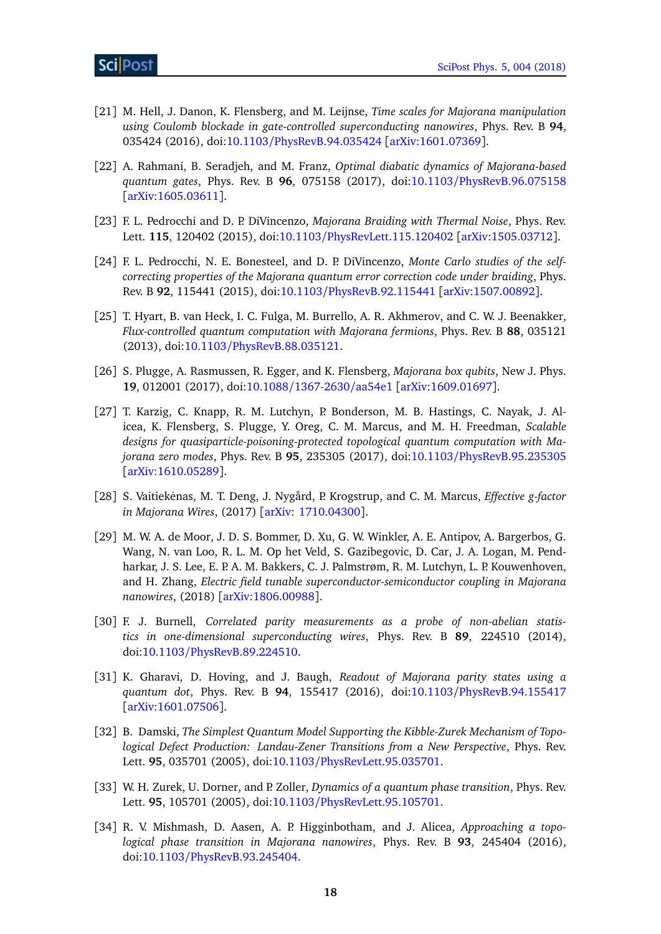- [21] M. Hell, J. Danon, K. Flensberg, and M. Leijnse, *Time scales for Majorana manipulation using Coulomb blockade in gate-controlled superconducting nanowires*, Phys. Rev. B **94**, 035424 (2016), doi:10.1103/[PhysRevB.94.035424](http://dx.doi.org/10.1103/PhysRevB.94.035424) [[arXiv:1601.07369](http://arxiv.org/abs/arXiv:1601.07369)].
- <span id="page-17-0"></span>[22] A. Rahmani, B. Seradjeh, and M. Franz, *Optimal diabatic dynamics of Majorana-based quantum gates*, Phys. Rev. B **96**, 075158 (2017), doi:10.1103/[PhysRevB.96.075158](http://dx.doi.org/10.1103/PhysRevB.96.075158) [[arXiv:1605.03611](http://arxiv.org/abs/arXiv:1605.03611)].
- <span id="page-17-1"></span>[23] F. L. Pedrocchi and D. P. DiVincenzo, *Majorana Braiding with Thermal Noise*, Phys. Rev. Lett. **115**, 120402 (2015), doi:10.1103/[PhysRevLett.115.120402](http://dx.doi.org/10.1103/PhysRevLett.115.120402) [[arXiv:1505.03712](http://arxiv.org/abs/arXiv:1505.03712)].
- <span id="page-17-2"></span>[24] F. L. Pedrocchi, N. E. Bonesteel, and D. P. DiVincenzo, *Monte Carlo studies of the selfcorrecting properties of the Majorana quantum error correction code under braiding*, Phys. Rev. B **92**, 115441 (2015), doi:10.1103/[PhysRevB.92.115441](http://dx.doi.org/ 10.1103/PhysRevB.92.115441) [[arXiv:1507.00892](http://arxiv.org/abs/arXiv:1507.00892)].
- <span id="page-17-3"></span>[25] T. Hyart, B. van Heck, I. C. Fulga, M. Burrello, A. R. Akhmerov, and C. W. J. Beenakker, *Flux-controlled quantum computation with Majorana fermions*, Phys. Rev. B **88**, 035121 (2013), doi:10.1103/[PhysRevB.88.035121.](http://dx.doi.org/10.1103/PhysRevB.88.035121)
- <span id="page-17-12"></span>[26] S. Plugge, A. Rasmussen, R. Egger, and K. Flensberg, *Majorana box qubits*, New J. Phys. **19**, 012001 (2017), doi:10.1088/[1367-2630](http://dx.doi.org/10.1088/1367-2630/aa54e1)/aa54e1 [[arXiv:1609.01697](http://arxiv.org/abs/arXiv:1609.01697)].
- <span id="page-17-4"></span>[27] T. Karzig, C. Knapp, R. M. Lutchyn, P. Bonderson, M. B. Hastings, C. Nayak, J. Alicea, K. Flensberg, S. Plugge, Y. Oreg, C. M. Marcus, and M. H. Freedman, *Scalable designs for quasiparticle-poisoning-protected topological quantum computation with Majorana zero modes*, Phys. Rev. B **95**, 235305 (2017), doi:10.1103/[PhysRevB.95.235305](http://dx.doi.org/10.1103/PhysRevB.95.235305) [[arXiv:1610.05289](http://arxiv.org/abs/1610.05289)].
- <span id="page-17-5"></span>[28] S. Vaitiekėnas, M. T. Deng, J. Nygård, P. Krogstrup, and C. M. Marcus, *Effective g-factor in Majorana Wires*, (2017) [[arXiv: 1710.04300](http://arxiv.org/abs/1710.04300)].
- <span id="page-17-6"></span>[29] M. W. A. de Moor, J. D. S. Bommer, D. Xu, G. W. Winkler, A. E. Antipov, A. Bargerbos, G. Wang, N. van Loo, R. L. M. Op het Veld, S. Gazibegovic, D. Car, J. A. Logan, M. Pendharkar, J. S. Lee, E. P. A. M. Bakkers, C. J. Palmstrøm, R. M. Lutchyn, L. P. Kouwenhoven, and H. Zhang, *Electric field tunable superconductor-semiconductor coupling in Majorana nanowires*, (2018) [[arXiv:1806.00988](https://arxiv.org/abs/1806.00988)].
- <span id="page-17-7"></span>[30] F. J. Burnell, *Correlated parity measurements as a probe of non-abelian statistics in one-dimensional superconducting wires*, Phys. Rev. B **89**, 224510 (2014), doi:10.1103/[PhysRevB.89.224510.](http://dx.doi.org/10.1103/PhysRevB.89.224510)
- <span id="page-17-8"></span>[31] K. Gharavi, D. Hoving, and J. Baugh, *Readout of Majorana parity states using a quantum dot*, Phys. Rev. B **94**, 155417 (2016), doi:10.1103/[PhysRevB.94.155417](http://dx.doi.org/10.1103/PhysRevB.94.155417) [[arXiv:1601.07506](http://arxiv.org/abs/arXiv:1601.07506)].
- <span id="page-17-9"></span>[32] B. Damski, *The Simplest Quantum Model Supporting the Kibble-Zurek Mechanism of Topological Defect Production: Landau-Zener Transitions from a New Perspective*, Phys. Rev. Lett. **95**, 035701 (2005), doi:10.1103/[PhysRevLett.95.035701.](http://dx.doi.org/10.1103/PhysRevLett.95.035701)
- <span id="page-17-10"></span>[33] W. H. Zurek, U. Dorner, and P. Zoller, *Dynamics of a quantum phase transition*, Phys. Rev. Lett. **95**, 105701 (2005), doi:10.1103/[PhysRevLett.95.105701.](http://dx.doi.org/10.1103/PhysRevLett.95.105701)
- <span id="page-17-11"></span>[34] R. V. Mishmash, D. Aasen, A. P. Higginbotham, and J. Alicea, *Approaching a topological phase transition in Majorana nanowires*, Phys. Rev. B **93**, 245404 (2016), doi:10.1103/[PhysRevB.93.245404.](http://dx.doi.org/10.1103/PhysRevB.93.245404)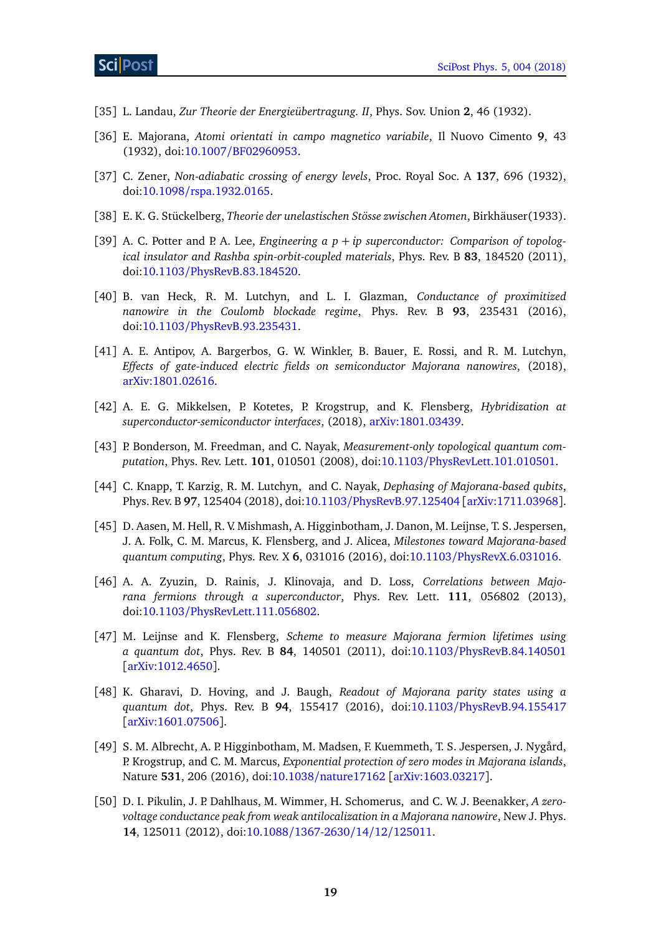- <span id="page-18-0"></span>[35] L. Landau, *Zur Theorie der Energieübertragung. II*, Phys. Sov. Union **2**, 46 (1932).
- [36] E. Majorana, *Atomi orientati in campo magnetico variabile*, Il Nuovo Cimento **9**, 43 (1932), doi:10.1007/[BF02960953.](http://dx.doi.org/10.1007/BF02960953)
- [37] C. Zener, *Non-adiabatic crossing of energy levels*, Proc. Royal Soc. A **137**, 696 (1932), doi:10.1098/[rspa.1932.0165.](http://dx.doi.org/10.1098/rspa.1932.0165)
- <span id="page-18-1"></span>[38] E. K. G. Stückelberg, *Theorie der unelastischen Stösse zwischen Atomen*, Birkhäuser(1933).
- <span id="page-18-2"></span>[39] A. C. Potter and P. A. Lee, *Engineering a p* + *ip superconductor: Comparison of topological insulator and Rashba spin-orbit-coupled materials*, Phys. Rev. B **83**, 184520 (2011), doi:10.1103/[PhysRevB.83.184520.](http://dx.doi.org/10.1103/PhysRevB.83.184520)
- <span id="page-18-3"></span>[40] B. van Heck, R. M. Lutchyn, and L. I. Glazman, *Conductance of proximitized nanowire in the Coulomb blockade regime*, Phys. Rev. B **93**, 235431 (2016), doi:10.1103/[PhysRevB.93.235431.](http://dx.doi.org/10.1103/PhysRevB.93.235431)
- <span id="page-18-4"></span>[41] A. E. Antipov, A. Bargerbos, G. W. Winkler, B. Bauer, E. Rossi, and R. M. Lutchyn, *Effects of gate-induced electric fields on semiconductor Majorana nanowires*, (2018), [arXiv:1801.02616.](http://arxiv.org/abs/1801.02616)
- <span id="page-18-5"></span>[42] A. E. G. Mikkelsen, P. Kotetes, P. Krogstrup, and K. Flensberg, *Hybridization at superconductor-semiconductor interfaces*, (2018), [arXiv:1801.03439.](http://arxiv.org/abs/1801.03439)
- <span id="page-18-6"></span>[43] P. Bonderson, M. Freedman, and C. Nayak, *Measurement-only topological quantum computation*, Phys. Rev. Lett. **101**, 010501 (2008), doi:10.1103/[PhysRevLett.101.010501.](http://dx.doi.org/10.1103/PhysRevLett.101.010501)
- <span id="page-18-7"></span>[44] C. Knapp, T. Karzig, R. M. Lutchyn, and C. Nayak, *Dephasing of Majorana-based qubits*, Phys. Rev. B **97**, 125404 (2018), doi:10.1103/[PhysRevB.97.125404](http://dx.doi.org/10.1103/PhysRevB.97.125404) [[arXiv:1711.03968](http://arxiv.org/abs/arXiv:1711.03968)].
- <span id="page-18-8"></span>[45] D. Aasen, M. Hell, R. V. Mishmash, A. Higginbotham, J. Danon, M. Leijnse, T. S. Jespersen, J. A. Folk, C. M. Marcus, K. Flensberg, and J. Alicea, *Milestones toward Majorana-based quantum computing*, Phys. Rev. X **6**, 031016 (2016), doi:10.1103/[PhysRevX.6.031016.](http://dx.doi.org/10.1103/PhysRevX.6.031016)
- <span id="page-18-9"></span>[46] A. A. Zyuzin, D. Rainis, J. Klinovaja, and D. Loss, *Correlations between Majorana fermions through a superconductor*, Phys. Rev. Lett. **111**, 056802 (2013), doi:10.1103/[PhysRevLett.111.056802.](http://dx.doi.org/10.1103/PhysRevLett.111.056802)
- <span id="page-18-10"></span>[47] M. Leijnse and K. Flensberg, *Scheme to measure Majorana fermion lifetimes using a quantum dot*, Phys. Rev. B **84**, 140501 (2011), doi:10.1103/[PhysRevB.84.140501](http://dx.doi.org/10.1103/PhysRevB.84.140501) [[arXiv:1012.4650](http://arxiv.org/abs/arXiv:1012.4650)].
- <span id="page-18-11"></span>[48] K. Gharavi, D. Hoving, and J. Baugh, *Readout of Majorana parity states using a quantum dot*, Phys. Rev. B **94**, 155417 (2016), doi:10.1103/[PhysRevB.94.155417](http://dx.doi.org/10.1103/PhysRevB.94.155417) [[arXiv:1601.07506](http://arxiv.org/abs/arXiv:1601.07506)].
- <span id="page-18-12"></span>[49] S. M. Albrecht, A. P. Higginbotham, M. Madsen, F. Kuemmeth, T. S. Jespersen, J. Nygård, P. Krogstrup, and C. M. Marcus, *Exponential protection of zero modes in Majorana islands*, Nature **531**, 206 (2016), doi:10.1038/[nature17162](http://dx.doi.org/10.1038/nature17162) [[arXiv:1603.03217](http://arxiv.org/abs/arXiv:1603.03217)].
- <span id="page-18-13"></span>[50] D. I. Pikulin, J. P. Dahlhaus, M. Wimmer, H. Schomerus, and C. W. J. Beenakker, *A zerovoltage conductance peak from weak antilocalization in a Majorana nanowire*, New J. Phys. **14**, 125011 (2012), doi:10.1088/[1367-2630](http://dx.doi.org/10.1088/1367-2630/14/12/125011)/14/12/125011.